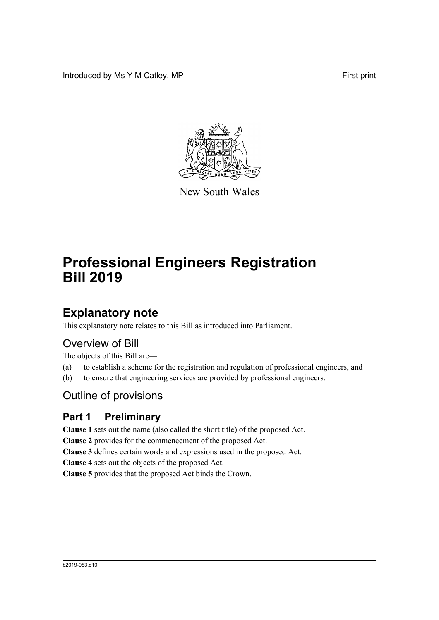Introduced by Ms Y M Catley, MP **First** print



New South Wales

# **Professional Engineers Registration Bill 2019**

# **Explanatory note**

This explanatory note relates to this Bill as introduced into Parliament.

# Overview of Bill

The objects of this Bill are—

- (a) to establish a scheme for the registration and regulation of professional engineers, and
- (b) to ensure that engineering services are provided by professional engineers.

# Outline of provisions

# **Part 1 Preliminary**

**Clause 1** sets out the name (also called the short title) of the proposed Act.

**Clause 2** provides for the commencement of the proposed Act.

**Clause 3** defines certain words and expressions used in the proposed Act.

**Clause 4** sets out the objects of the proposed Act.

**Clause 5** provides that the proposed Act binds the Crown.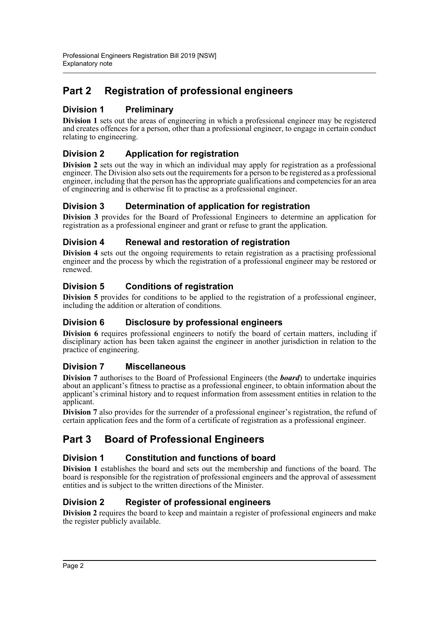# **Part 2 Registration of professional engineers**

## **Division 1 Preliminary**

**Division 1** sets out the areas of engineering in which a professional engineer may be registered and creates offences for a person, other than a professional engineer, to engage in certain conduct relating to engineering.

## **Division 2 Application for registration**

**Division 2** sets out the way in which an individual may apply for registration as a professional engineer. The Division also sets out the requirements for a person to be registered as a professional engineer, including that the person has the appropriate qualifications and competencies for an area of engineering and is otherwise fit to practise as a professional engineer.

## **Division 3 Determination of application for registration**

**Division 3** provides for the Board of Professional Engineers to determine an application for registration as a professional engineer and grant or refuse to grant the application.

## **Division 4 Renewal and restoration of registration**

**Division 4** sets out the ongoing requirements to retain registration as a practising professional engineer and the process by which the registration of a professional engineer may be restored or renewed.

## **Division 5 Conditions of registration**

**Division 5** provides for conditions to be applied to the registration of a professional engineer, including the addition or alteration of conditions.

## **Division 6 Disclosure by professional engineers**

**Division 6** requires professional engineers to notify the board of certain matters, including if disciplinary action has been taken against the engineer in another jurisdiction in relation to the practice of engineering.

## **Division 7 Miscellaneous**

**Division 7** authorises to the Board of Professional Engineers (the *board*) to undertake inquiries about an applicant's fitness to practise as a professional engineer, to obtain information about the applicant's criminal history and to request information from assessment entities in relation to the applicant.

**Division 7** also provides for the surrender of a professional engineer's registration, the refund of certain application fees and the form of a certificate of registration as a professional engineer.

## **Part 3 Board of Professional Engineers**

## **Division 1 Constitution and functions of board**

**Division 1** establishes the board and sets out the membership and functions of the board. The board is responsible for the registration of professional engineers and the approval of assessment entities and is subject to the written directions of the Minister.

## **Division 2 Register of professional engineers**

**Division 2** requires the board to keep and maintain a register of professional engineers and make the register publicly available.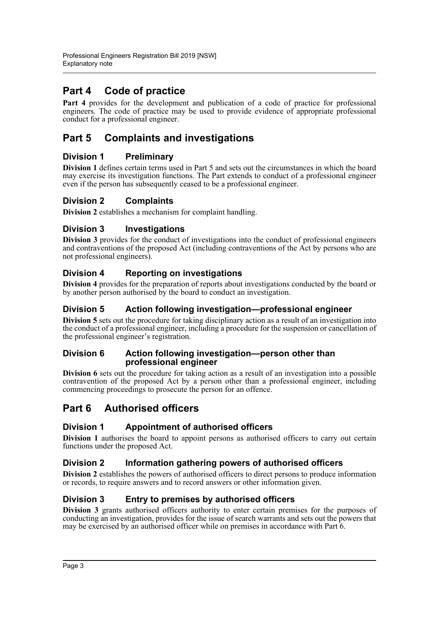# **Part 4 Code of practice**

**Part 4** provides for the development and publication of a code of practice for professional engineers. The code of practice may be used to provide evidence of appropriate professional conduct for a professional engineer.

# **Part 5 Complaints and investigations**

## **Division 1 Preliminary**

**Division 1** defines certain terms used in Part 5 and sets out the circumstances in which the board may exercise its investigation functions. The Part extends to conduct of a professional engineer even if the person has subsequently ceased to be a professional engineer.

## **Division 2 Complaints**

**Division 2** establishes a mechanism for complaint handling.

## **Division 3 Investigations**

**Division 3** provides for the conduct of investigations into the conduct of professional engineers and contraventions of the proposed Act (including contraventions of the Act by persons who are not professional engineers).

## **Division 4 Reporting on investigations**

**Division 4** provides for the preparation of reports about investigations conducted by the board or by another person authorised by the board to conduct an investigation.

## **Division 5 Action following investigation—professional engineer**

**Division 5** sets out the procedure for taking disciplinary action as a result of an investigation into the conduct of a professional engineer, including a procedure for the suspension or cancellation of the professional engineer's registration.

### **Division 6 Action following investigation—person other than professional engineer**

**Division 6** sets out the procedure for taking action as a result of an investigation into a possible contravention of the proposed Act by a person other than a professional engineer, including commencing proceedings to prosecute the person for an offence.

# **Part 6 Authorised officers**

## **Division 1 Appointment of authorised officers**

**Division 1** authorises the board to appoint persons as authorised officers to carry out certain functions under the proposed Act.

### **Division 2 Information gathering powers of authorised officers**

**Division 2** establishes the powers of authorised officers to direct persons to produce information or records, to require answers and to record answers or other information given.

## **Division 3 Entry to premises by authorised officers**

**Division 3** grants authorised officers authority to enter certain premises for the purposes of conducting an investigation, provides for the issue of search warrants and sets out the powers that may be exercised by an authorised officer while on premises in accordance with Part 6.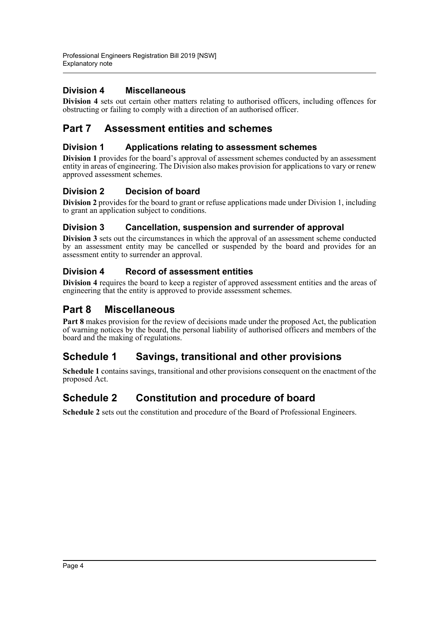## **Division 4 Miscellaneous**

**Division 4** sets out certain other matters relating to authorised officers, including offences for obstructing or failing to comply with a direction of an authorised officer.

## **Part 7 Assessment entities and schemes**

### **Division 1 Applications relating to assessment schemes**

**Division 1** provides for the board's approval of assessment schemes conducted by an assessment entity in areas of engineering. The Division also makes provision for applications to vary or renew approved assessment schemes.

## **Division 2 Decision of board**

**Division 2** provides for the board to grant or refuse applications made under Division 1, including to grant an application subject to conditions.

## **Division 3 Cancellation, suspension and surrender of approval**

**Division 3** sets out the circumstances in which the approval of an assessment scheme conducted by an assessment entity may be cancelled or suspended by the board and provides for an assessment entity to surrender an approval.

## **Division 4 Record of assessment entities**

**Division 4** requires the board to keep a register of approved assessment entities and the areas of engineering that the entity is approved to provide assessment schemes.

# **Part 8 Miscellaneous**

**Part 8** makes provision for the review of decisions made under the proposed Act, the publication of warning notices by the board, the personal liability of authorised officers and members of the board and the making of regulations.

## **Schedule 1 Savings, transitional and other provisions**

**Schedule 1** contains savings, transitional and other provisions consequent on the enactment of the proposed Act.

# **Schedule 2 Constitution and procedure of board**

**Schedule 2** sets out the constitution and procedure of the Board of Professional Engineers.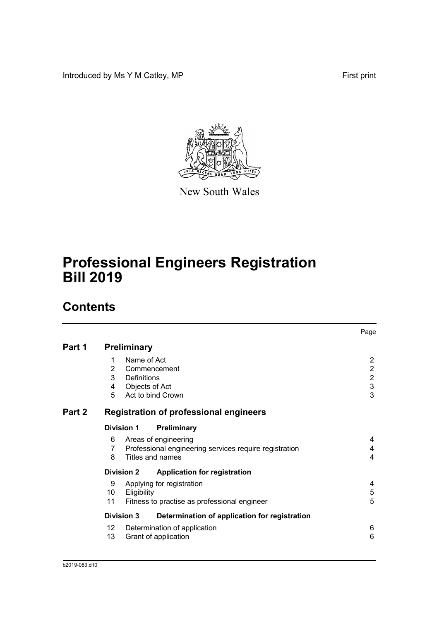Introduced by Ms Y M Catley, MP **First print** 



New South Wales

# **Professional Engineers Registration Bill 2019**

# **Contents**

|        |                    |                |                                                        | Page             |
|--------|--------------------|----------------|--------------------------------------------------------|------------------|
| Part 1 | <b>Preliminary</b> |                |                                                        |                  |
|        | 1                  | Name of Act    |                                                        | 2                |
|        | $\overline{2}$     |                | Commencement                                           | $\boldsymbol{2}$ |
|        | 3                  | Definitions    |                                                        | $\overline{2}$   |
|        | 4                  | Objects of Act |                                                        | $\mathfrak{S}$   |
|        | 5                  |                | Act to bind Crown                                      | 3                |
| Part 2 |                    |                | <b>Registration of professional engineers</b>          |                  |
|        | <b>Division 1</b>  |                | Preliminary                                            |                  |
|        | 6                  |                | Areas of engineering                                   | 4                |
|        | 7                  |                | Professional engineering services require registration | 4                |
|        | 8                  |                | Titles and names                                       | 4                |
|        | <b>Division 2</b>  |                | <b>Application for registration</b>                    |                  |
|        | 9                  |                | Applying for registration                              | 4                |
|        | 10                 | Eligibility    |                                                        | $\mathbf 5$      |
|        | 11                 |                | Fitness to practise as professional engineer           | 5                |
|        | <b>Division 3</b>  |                | Determination of application for registration          |                  |
|        | 12                 |                | Determination of application                           | 6                |
|        | 13                 |                | Grant of application                                   | 6                |
|        |                    |                |                                                        |                  |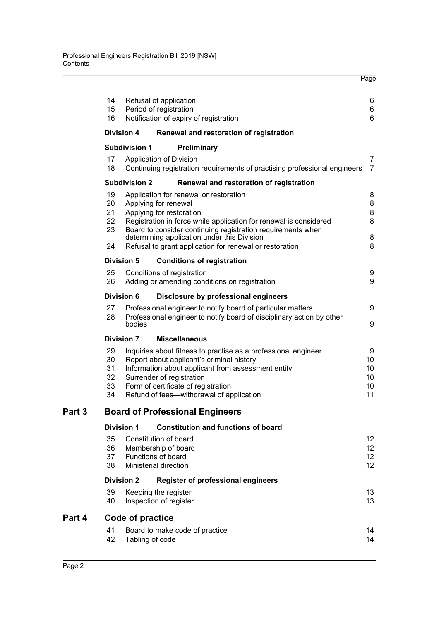| 14<br>15<br>16                   |                      | Refusal of application<br>Period of registration<br>Notification of expiry of registration                                                                                                                                                                                                                                               | 6<br>6<br>6                      |
|----------------------------------|----------------------|------------------------------------------------------------------------------------------------------------------------------------------------------------------------------------------------------------------------------------------------------------------------------------------------------------------------------------------|----------------------------------|
|                                  | <b>Division 4</b>    | Renewal and restoration of registration                                                                                                                                                                                                                                                                                                  |                                  |
|                                  | <b>Subdivision 1</b> | Preliminary                                                                                                                                                                                                                                                                                                                              |                                  |
| 17<br>18                         |                      | Application of Division<br>Continuing registration requirements of practising professional engineers                                                                                                                                                                                                                                     | $\overline{7}$<br>$\overline{7}$ |
|                                  | <b>Subdivision 2</b> | Renewal and restoration of registration                                                                                                                                                                                                                                                                                                  |                                  |
| 19<br>20<br>21<br>22<br>23<br>24 |                      | Application for renewal or restoration<br>Applying for renewal<br>Applying for restoration<br>Registration in force while application for renewal is considered<br>Board to consider continuing registration requirements when<br>determining application under this Division<br>Refusal to grant application for renewal or restoration | 8<br>8<br>8<br>8<br>8<br>8       |
|                                  | Division 5           | <b>Conditions of registration</b>                                                                                                                                                                                                                                                                                                        |                                  |
| 25<br>26                         |                      | Conditions of registration<br>Adding or amending conditions on registration                                                                                                                                                                                                                                                              | 9<br>9                           |
|                                  | Division 6           | Disclosure by professional engineers                                                                                                                                                                                                                                                                                                     |                                  |
| 27<br>28                         | bodies               | Professional engineer to notify board of particular matters<br>Professional engineer to notify board of disciplinary action by other                                                                                                                                                                                                     | 9<br>9                           |
|                                  | <b>Division 7</b>    | <b>Miscellaneous</b>                                                                                                                                                                                                                                                                                                                     |                                  |
| 29<br>30<br>31<br>32<br>33<br>34 |                      | Inquiries about fitness to practise as a professional engineer<br>Report about applicant's criminal history<br>Information about applicant from assessment entity<br>Surrender of registration<br>Form of certificate of registration<br>Refund of fees-withdrawal of application                                                        | 9<br>10<br>10<br>10<br>10<br>11  |
|                                  |                      | <b>Board of Professional Engineers</b>                                                                                                                                                                                                                                                                                                   |                                  |
|                                  | <b>Division 1</b>    | <b>Constitution and functions of board</b>                                                                                                                                                                                                                                                                                               |                                  |
| 35<br>36<br>37<br>38             |                      | Constitution of board<br>Membership of board<br>Functions of board<br>Ministerial direction                                                                                                                                                                                                                                              | 12<br>12<br>12<br>12             |
|                                  | <b>Division 2</b>    | <b>Register of professional engineers</b>                                                                                                                                                                                                                                                                                                |                                  |
| 39<br>40                         |                      | Keeping the register<br>Inspection of register                                                                                                                                                                                                                                                                                           | 13<br>13                         |
|                                  | Code of practice     |                                                                                                                                                                                                                                                                                                                                          |                                  |
| 41<br>42                         |                      | Board to make code of practice<br>Tabling of code                                                                                                                                                                                                                                                                                        | 14<br>14                         |

Page

**Part 4** 

**Part 3**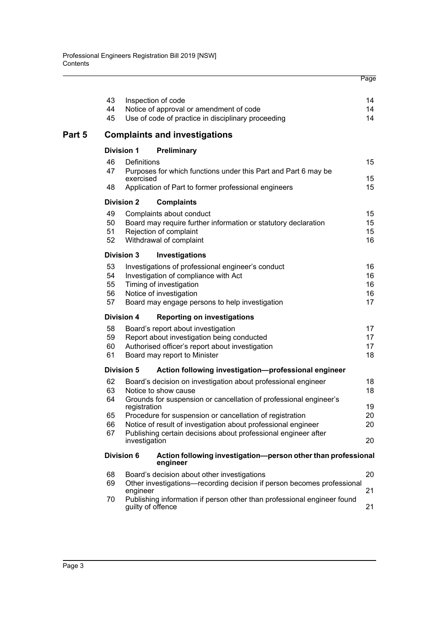|        | 43 |                   | Inspection of code                                                                           | 14 |
|--------|----|-------------------|----------------------------------------------------------------------------------------------|----|
|        | 44 |                   | Notice of approval or amendment of code                                                      | 14 |
|        | 45 |                   | Use of code of practice in disciplinary proceeding                                           | 14 |
| Part 5 |    |                   | <b>Complaints and investigations</b>                                                         |    |
|        |    | <b>Division 1</b> | Preliminary                                                                                  |    |
|        | 46 | Definitions       |                                                                                              | 15 |
|        | 47 | exercised         | Purposes for which functions under this Part and Part 6 may be                               | 15 |
|        | 48 |                   | Application of Part to former professional engineers                                         | 15 |
|        |    | <b>Division 2</b> | <b>Complaints</b>                                                                            |    |
|        | 49 |                   | Complaints about conduct                                                                     | 15 |
|        | 50 |                   | Board may require further information or statutory declaration                               | 15 |
|        | 51 |                   | Rejection of complaint                                                                       | 15 |
|        | 52 |                   | Withdrawal of complaint                                                                      | 16 |
|        |    | <b>Division 3</b> | Investigations                                                                               |    |
|        | 53 |                   | Investigations of professional engineer's conduct                                            | 16 |
|        | 54 |                   | Investigation of compliance with Act                                                         | 16 |
|        | 55 |                   | Timing of investigation                                                                      | 16 |
|        | 56 |                   | Notice of investigation                                                                      | 16 |
|        | 57 |                   | Board may engage persons to help investigation                                               | 17 |
|        |    | <b>Division 4</b> | <b>Reporting on investigations</b>                                                           |    |
|        | 58 |                   | Board's report about investigation                                                           | 17 |
|        | 59 |                   | Report about investigation being conducted                                                   | 17 |
|        | 60 |                   | Authorised officer's report about investigation                                              | 17 |
|        | 61 |                   | Board may report to Minister                                                                 | 18 |
|        |    | <b>Division 5</b> | Action following investigation-professional engineer                                         |    |
|        | 62 |                   | Board's decision on investigation about professional engineer                                | 18 |
|        | 63 |                   | Notice to show cause                                                                         | 18 |
|        | 64 |                   | Grounds for suspension or cancellation of professional engineer's                            |    |
|        |    | registration      |                                                                                              | 19 |
|        | 65 |                   | Procedure for suspension or cancellation of registration                                     | 20 |
|        | 66 |                   | Notice of result of investigation about professional engineer                                | 20 |
|        | 67 | investigation     | Publishing certain decisions about professional engineer after                               | 20 |
|        |    | <b>Division 6</b> | Action following investigation-person other than professional                                |    |
|        |    |                   | engineer                                                                                     |    |
|        | 68 |                   | Board's decision about other investigations                                                  | 20 |
|        | 69 |                   | Other investigations-recording decision if person becomes professional                       |    |
|        |    | engineer          |                                                                                              | 21 |
|        | 70 |                   | Publishing information if person other than professional engineer found<br>guilty of offence | 21 |
|        |    |                   |                                                                                              |    |

Page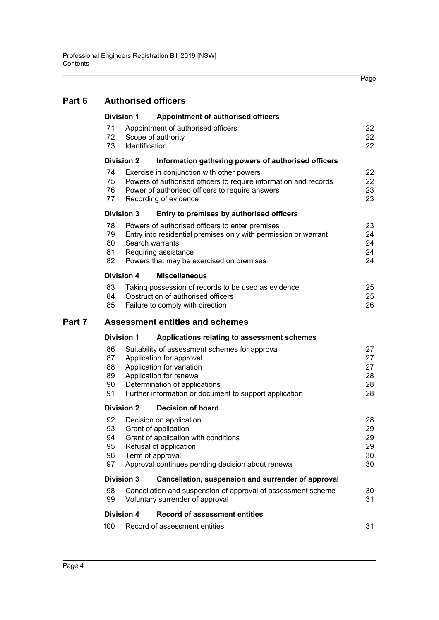| Part 6 | <b>Authorised officers</b> |                |                                                                  |          |  |  |
|--------|----------------------------|----------------|------------------------------------------------------------------|----------|--|--|
|        | <b>Division 1</b>          |                | Appointment of authorised officers                               |          |  |  |
|        | 71                         |                | Appointment of authorised officers                               | 22       |  |  |
|        | 72                         |                | Scope of authority                                               | 22       |  |  |
|        | 73                         | Identification |                                                                  | 22       |  |  |
|        | <b>Division 2</b>          |                | Information gathering powers of authorised officers              |          |  |  |
|        | 74                         |                | Exercise in conjunction with other powers                        | 22       |  |  |
|        | 75                         |                | Powers of authorised officers to require information and records | 22       |  |  |
|        | 76                         |                | Power of authorised officers to require answers                  | 23       |  |  |
|        | 77                         |                | Recording of evidence                                            | 23       |  |  |
|        | <b>Division 3</b>          |                | Entry to premises by authorised officers                         |          |  |  |
|        | 78                         |                | Powers of authorised officers to enter premises                  | 23       |  |  |
|        | 79                         |                | Entry into residential premises only with permission or warrant  | 24       |  |  |
|        | 80                         |                | Search warrants                                                  | 24       |  |  |
|        | 81                         |                | Requiring assistance                                             | 24       |  |  |
|        | 82                         |                | Powers that may be exercised on premises                         | 24       |  |  |
|        | <b>Division 4</b>          |                | <b>Miscellaneous</b>                                             |          |  |  |
|        | 83                         |                | Taking possession of records to be used as evidence              | 25       |  |  |
|        | 84                         |                | Obstruction of authorised officers                               | 25       |  |  |
|        | 85                         |                | Failure to comply with direction                                 | 26       |  |  |
| Part 7 |                            |                | <b>Assessment entities and schemes</b>                           |          |  |  |
|        | <b>Division 1</b>          |                | Applications relating to assessment schemes                      |          |  |  |
|        | 86                         |                | Suitability of assessment schemes for approval                   | 27       |  |  |
|        | 87                         |                | Application for approval                                         | 27       |  |  |
|        | 88                         |                | Application for variation                                        | 27       |  |  |
|        | 89                         |                | Application for renewal                                          | 28       |  |  |
|        | 90                         |                | Determination of applications                                    | 28       |  |  |
|        | 91                         |                | Further information or document to support application           | 28       |  |  |
|        | <b>Division 2</b>          |                | <b>Decision of board</b>                                         |          |  |  |
|        | 92                         |                | Decision on application                                          | 28       |  |  |
|        | 93                         |                | Grant of application                                             | 29       |  |  |
|        | 94                         |                | Grant of application with conditions                             | 29       |  |  |
|        | 95                         |                | Refusal of application                                           | 29       |  |  |
|        | 96<br>97                   |                | Term of approval                                                 | 30<br>30 |  |  |
|        |                            |                | Approval continues pending decision about renewal                |          |  |  |
|        | <b>Division 3</b>          |                | Cancellation, suspension and surrender of approval               |          |  |  |
|        | 98                         |                | Cancellation and suspension of approval of assessment scheme     | 30       |  |  |
|        | 99                         |                | Voluntary surrender of approval                                  | 31       |  |  |
|        | <b>Division 4</b>          |                | <b>Record of assessment entities</b>                             |          |  |  |
|        | 100                        |                | Record of assessment entities                                    | 31       |  |  |
|        |                            |                |                                                                  |          |  |  |

Page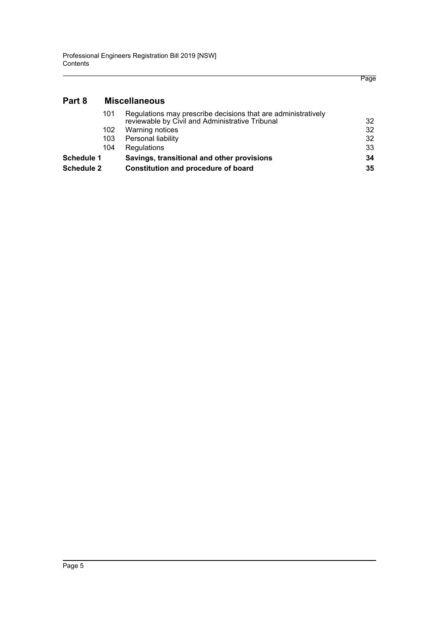# **[Part 8 Miscellaneous](#page-40-0)**

| Savings, transitional and other provisions                                                                       | 34 |
|------------------------------------------------------------------------------------------------------------------|----|
| Regulations                                                                                                      | 33 |
| Personal liability                                                                                               | 32 |
| Warning notices                                                                                                  | 32 |
| Regulations may prescribe decisions that are administratively<br>reviewable by Civil and Administrative Tribunal | 32 |
|                                                                                                                  |    |

Page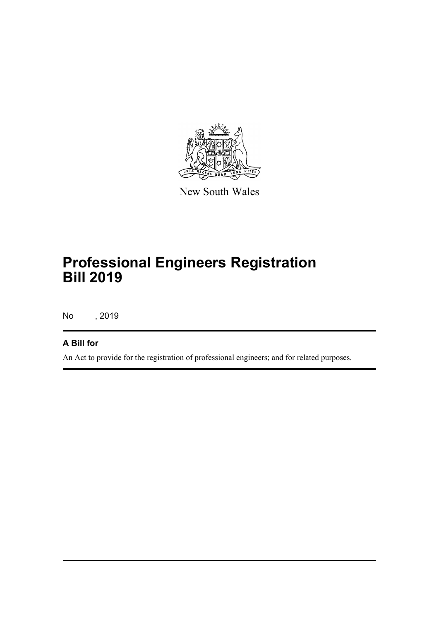

New South Wales

# **Professional Engineers Registration Bill 2019**

No , 2019

## **A Bill for**

An Act to provide for the registration of professional engineers; and for related purposes.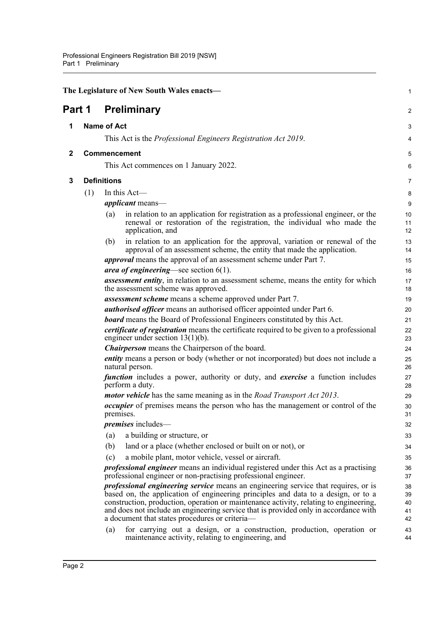<span id="page-10-3"></span><span id="page-10-2"></span><span id="page-10-1"></span><span id="page-10-0"></span>

| The Legislature of New South Wales enacts-<br>$\mathbf{1}$ |     |                                                                                                                                                                                                                                                                                                                                                                                                                   |                |  |  |
|------------------------------------------------------------|-----|-------------------------------------------------------------------------------------------------------------------------------------------------------------------------------------------------------------------------------------------------------------------------------------------------------------------------------------------------------------------------------------------------------------------|----------------|--|--|
| Part 1                                                     |     | <b>Preliminary</b>                                                                                                                                                                                                                                                                                                                                                                                                | $\overline{2}$ |  |  |
| 1                                                          |     | <b>Name of Act</b>                                                                                                                                                                                                                                                                                                                                                                                                | 3              |  |  |
|                                                            |     | This Act is the <i>Professional Engineers Registration Act 2019</i> .                                                                                                                                                                                                                                                                                                                                             | 4              |  |  |
| $\mathbf{2}$                                               |     | Commencement                                                                                                                                                                                                                                                                                                                                                                                                      | 5              |  |  |
|                                                            |     | This Act commences on 1 January 2022.                                                                                                                                                                                                                                                                                                                                                                             | 6              |  |  |
| 3                                                          |     | <b>Definitions</b>                                                                                                                                                                                                                                                                                                                                                                                                | 7              |  |  |
|                                                            | (1) | In this Act-                                                                                                                                                                                                                                                                                                                                                                                                      | 8              |  |  |
|                                                            |     | <i>applicant</i> means—                                                                                                                                                                                                                                                                                                                                                                                           | 9              |  |  |
|                                                            |     | in relation to an application for registration as a professional engineer, or the<br>(a)<br>renewal or restoration of the registration, the individual who made the<br>application, and                                                                                                                                                                                                                           | 10<br>11<br>12 |  |  |
|                                                            |     | in relation to an application for the approval, variation or renewal of the<br>(b)<br>approval of an assessment scheme, the entity that made the application.                                                                                                                                                                                                                                                     | 13<br>14       |  |  |
|                                                            |     | <i>approval</i> means the approval of an assessment scheme under Part 7.                                                                                                                                                                                                                                                                                                                                          | 15             |  |  |
|                                                            |     | <i>area of engineering</i> —see section $6(1)$ .                                                                                                                                                                                                                                                                                                                                                                  | 16             |  |  |
|                                                            |     | <b>assessment entity</b> , in relation to an assessment scheme, means the entity for which<br>the assessment scheme was approved.                                                                                                                                                                                                                                                                                 | 17<br>18       |  |  |
|                                                            |     | assessment scheme means a scheme approved under Part 7.                                                                                                                                                                                                                                                                                                                                                           | 19             |  |  |
|                                                            |     | authorised officer means an authorised officer appointed under Part 6.                                                                                                                                                                                                                                                                                                                                            | 20             |  |  |
|                                                            |     | <b>board</b> means the Board of Professional Engineers constituted by this Act.                                                                                                                                                                                                                                                                                                                                   | 21             |  |  |
|                                                            |     | certificate of registration means the certificate required to be given to a professional<br>engineer under section $13(1)(b)$ .                                                                                                                                                                                                                                                                                   | 22<br>23       |  |  |
|                                                            |     | <b>Chairperson</b> means the Chairperson of the board.                                                                                                                                                                                                                                                                                                                                                            | 24             |  |  |
|                                                            |     | entity means a person or body (whether or not incorporated) but does not include a<br>natural person.                                                                                                                                                                                                                                                                                                             | 25<br>26       |  |  |
|                                                            |     | <i>function</i> includes a power, authority or duty, and <i>exercise</i> a function includes<br>perform a duty.                                                                                                                                                                                                                                                                                                   | 27<br>28       |  |  |
|                                                            |     | <i>motor vehicle</i> has the same meaning as in the <i>Road Transport Act 2013</i> .                                                                                                                                                                                                                                                                                                                              | 29             |  |  |
|                                                            |     | <i>occupier</i> of premises means the person who has the management or control of the<br>premises.                                                                                                                                                                                                                                                                                                                | 30<br>31       |  |  |
|                                                            |     | <i>premises</i> includes—                                                                                                                                                                                                                                                                                                                                                                                         | 32             |  |  |
|                                                            |     | a building or structure, or<br>(a)                                                                                                                                                                                                                                                                                                                                                                                | 33             |  |  |
|                                                            |     | land or a place (whether enclosed or built on or not), or<br>(b)                                                                                                                                                                                                                                                                                                                                                  | 34             |  |  |
|                                                            |     | a mobile plant, motor vehicle, vessel or aircraft.<br>(c)                                                                                                                                                                                                                                                                                                                                                         | 35             |  |  |
|                                                            |     | <i>professional engineer</i> means an individual registered under this Act as a practising<br>professional engineer or non-practising professional engineer.                                                                                                                                                                                                                                                      | 36<br>37       |  |  |
|                                                            |     | <i>professional engineering service</i> means an engineering service that requires, or is<br>based on, the application of engineering principles and data to a design, or to a<br>construction, production, operation or maintenance activity, relating to engineering,<br>and does not include an engineering service that is provided only in accordance with<br>a document that states procedures or criteria- |                |  |  |
|                                                            |     | for carrying out a design, or a construction, production, operation or<br>(a)<br>maintenance activity, relating to engineering, and                                                                                                                                                                                                                                                                               | 43<br>44       |  |  |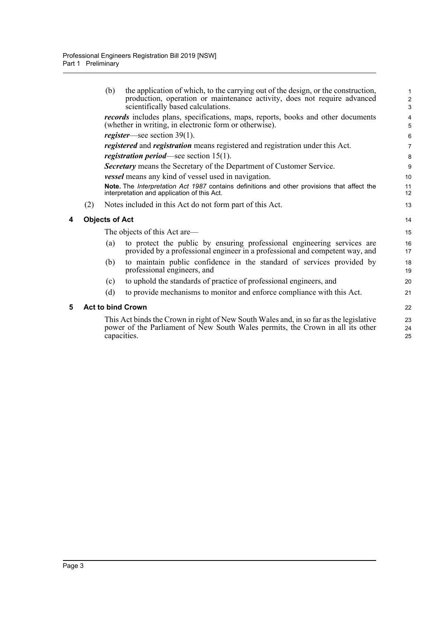<span id="page-11-1"></span><span id="page-11-0"></span>

|   |     | (b)                   | the application of which, to the carrying out of the design, or the construction,<br>production, operation or maintenance activity, does not require advanced<br>scientifically based calculations. | 1<br>$\overline{2}$<br>3     |
|---|-----|-----------------------|-----------------------------------------------------------------------------------------------------------------------------------------------------------------------------------------------------|------------------------------|
|   |     |                       | records includes plans, specifications, maps, reports, books and other documents<br>(whether in writing, in electronic form or otherwise).                                                          | $\overline{\mathbf{4}}$<br>5 |
|   |     |                       | <i>register</i> —see section $39(1)$ .                                                                                                                                                              | 6                            |
|   |     |                       | <i>registered</i> and <i>registration</i> means registered and registration under this Act.                                                                                                         | $\overline{7}$               |
|   |     |                       | <i>registration period</i> —see section $15(1)$ .                                                                                                                                                   | 8                            |
|   |     |                       | Secretary means the Secretary of the Department of Customer Service.                                                                                                                                | 9                            |
|   |     |                       | <i>vessel</i> means any kind of vessel used in navigation.                                                                                                                                          | 10                           |
|   |     |                       | Note. The Interpretation Act 1987 contains definitions and other provisions that affect the<br>interpretation and application of this Act.                                                          | 11<br>12                     |
|   | (2) |                       | Notes included in this Act do not form part of this Act.                                                                                                                                            | 13                           |
| 4 |     | <b>Objects of Act</b> |                                                                                                                                                                                                     | 14                           |
|   |     |                       | The objects of this Act are—                                                                                                                                                                        | 15                           |
|   |     | (a)                   | to protect the public by ensuring professional engineering services are<br>provided by a professional engineer in a professional and competent way, and                                             | 16<br>17                     |
|   |     | (b)                   | to maintain public confidence in the standard of services provided by<br>professional engineers, and                                                                                                | 18<br>19                     |
|   |     | (c)                   | to uphold the standards of practice of professional engineers, and                                                                                                                                  | 20                           |
|   |     | (d)                   | to provide mechanisms to monitor and enforce compliance with this Act.                                                                                                                              | 21                           |
| 5 |     |                       | <b>Act to bind Crown</b>                                                                                                                                                                            | 22                           |
|   |     |                       | This Act binds the Crown in right of New South Wales and, in so far as the legislative<br>power of the Parliament of New South Wales permits, the Crown in all its other<br>capacities.             | 23<br>24<br>25               |
|   |     |                       |                                                                                                                                                                                                     |                              |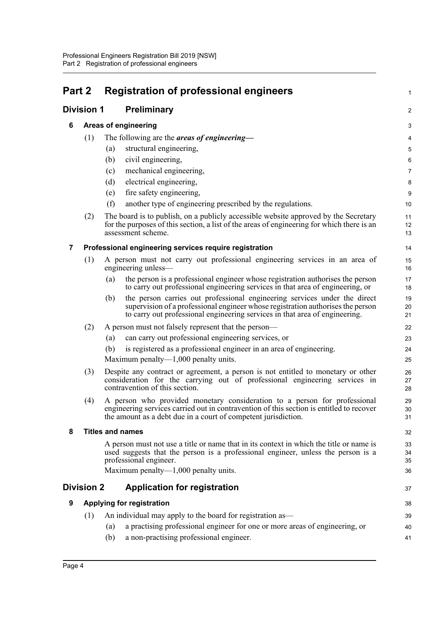<span id="page-12-6"></span><span id="page-12-5"></span><span id="page-12-4"></span><span id="page-12-3"></span><span id="page-12-2"></span><span id="page-12-1"></span><span id="page-12-0"></span>

| Part 2 |                   | <b>Registration of professional engineers</b>                                                                                                                                                                                                      | 1                       |
|--------|-------------------|----------------------------------------------------------------------------------------------------------------------------------------------------------------------------------------------------------------------------------------------------|-------------------------|
|        | <b>Division 1</b> | Preliminary                                                                                                                                                                                                                                        | $\overline{\mathbf{c}}$ |
| 6      |                   | Areas of engineering                                                                                                                                                                                                                               | 3                       |
|        | (1)               | The following are the <i>areas of engineering</i> —                                                                                                                                                                                                | 4                       |
|        |                   | structural engineering,<br>(a)                                                                                                                                                                                                                     | 5                       |
|        |                   | (b)<br>civil engineering,                                                                                                                                                                                                                          | 6                       |
|        |                   | mechanical engineering,<br>(c)                                                                                                                                                                                                                     | 7                       |
|        |                   | (d)<br>electrical engineering,                                                                                                                                                                                                                     | 8                       |
|        |                   | fire safety engineering,<br>(e)                                                                                                                                                                                                                    | 9                       |
|        |                   | (f)<br>another type of engineering prescribed by the regulations.                                                                                                                                                                                  | 10                      |
|        | (2)               | The board is to publish, on a publicly accessible website approved by the Secretary<br>for the purposes of this section, a list of the areas of engineering for which there is an<br>assessment scheme.                                            | 11<br>12<br>13          |
| 7      |                   | Professional engineering services require registration                                                                                                                                                                                             | 14                      |
|        | (1)               | A person must not carry out professional engineering services in an area of<br>engineering unless—                                                                                                                                                 | 15<br>16                |
|        |                   | the person is a professional engineer whose registration authorises the person<br>(a)<br>to carry out professional engineering services in that area of engineering, or                                                                            | 17<br>18                |
|        |                   | the person carries out professional engineering services under the direct<br>(b)<br>supervision of a professional engineer whose registration authorises the person<br>to carry out professional engineering services in that area of engineering. | 19<br>20<br>21          |
|        | (2)               | A person must not falsely represent that the person—                                                                                                                                                                                               | 22                      |
|        |                   | can carry out professional engineering services, or<br>(a)                                                                                                                                                                                         | 23                      |
|        |                   | is registered as a professional engineer in an area of engineering.<br>(b)<br>Maximum penalty— $1,000$ penalty units.                                                                                                                              | 24<br>25                |
|        | (3)               | Despite any contract or agreement, a person is not entitled to monetary or other<br>consideration for the carrying out of professional engineering services in<br>contravention of this section.                                                   | 26<br>27<br>28          |
|        | (4)               | A person who provided monetary consideration to a person for professional<br>engineering services carried out in contravention of this section is entitled to recover<br>the amount as a debt due in a court of competent jurisdiction.            | 29<br>30<br>31          |
| 8      |                   | <b>Titles and names</b>                                                                                                                                                                                                                            | 32                      |
|        |                   | A person must not use a title or name that in its context in which the title or name is<br>used suggests that the person is a professional engineer, unless the person is a<br>professional engineer.                                              | 33<br>34<br>35          |
|        |                   | Maximum penalty— $1,000$ penalty units.                                                                                                                                                                                                            | 36                      |
|        | <b>Division 2</b> | <b>Application for registration</b>                                                                                                                                                                                                                | 37                      |
| 9      |                   | Applying for registration                                                                                                                                                                                                                          | 38                      |
|        | (1)               | An individual may apply to the board for registration as—                                                                                                                                                                                          | 39                      |
|        |                   | a practising professional engineer for one or more areas of engineering, or<br>(a)                                                                                                                                                                 | 40                      |
|        |                   | a non-practising professional engineer.<br>(b)                                                                                                                                                                                                     | 41                      |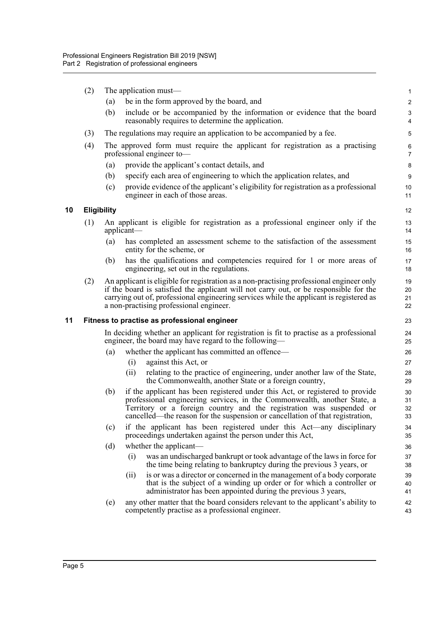<span id="page-13-1"></span><span id="page-13-0"></span>(2) The application must— (a) be in the form approved by the board, and (b) include or be accompanied by the information or evidence that the board reasonably requires to determine the application. (3) The regulations may require an application to be accompanied by a fee. (4) The approved form must require the applicant for registration as a practising professional engineer to— (a) provide the applicant's contact details, and (b) specify each area of engineering to which the application relates, and (c) provide evidence of the applicant's eligibility for registration as a professional engineer in each of those areas. **10 Eligibility** (1) An applicant is eligible for registration as a professional engineer only if the applicant— (a) has completed an assessment scheme to the satisfaction of the assessment entity for the scheme, or (b) has the qualifications and competencies required for 1 or more areas of engineering, set out in the regulations. (2) An applicant is eligible for registration as a non-practising professional engineer only if the board is satisfied the applicant will not carry out, or be responsible for the carrying out of, professional engineering services while the applicant is registered as a non-practising professional engineer. **11 Fitness to practise as professional engineer** In deciding whether an applicant for registration is fit to practise as a professional engineer, the board may have regard to the following— (a) whether the applicant has committed an offence— (i) against this Act, or (ii) relating to the practice of engineering, under another law of the State, the Commonwealth, another State or a foreign country, (b) if the applicant has been registered under this Act, or registered to provide professional engineering services, in the Commonwealth, another State, a Territory or a foreign country and the registration was suspended or cancelled—the reason for the suspension or cancellation of that registration, (c) if the applicant has been registered under this Act—any disciplinary proceedings undertaken against the person under this Act, (d) whether the applicant— (i) was an undischarged bankrupt or took advantage of the laws in force for the time being relating to bankruptcy during the previous 3 years, or (ii) is or was a director or concerned in the management of a body corporate that is the subject of a winding up order or for which a controller or administrator has been appointed during the previous 3 years, (e) any other matter that the board considers relevant to the applicant's ability to competently practise as a professional engineer. 1  $\overline{2}$ 3 4 5 6 7 8 9 10 11 12 13 14 15 16 17 18 19 20 21 22 23 24 25 26 27 28 29 30 31 32 33 34 35 36 37 38 39 40 41 42 43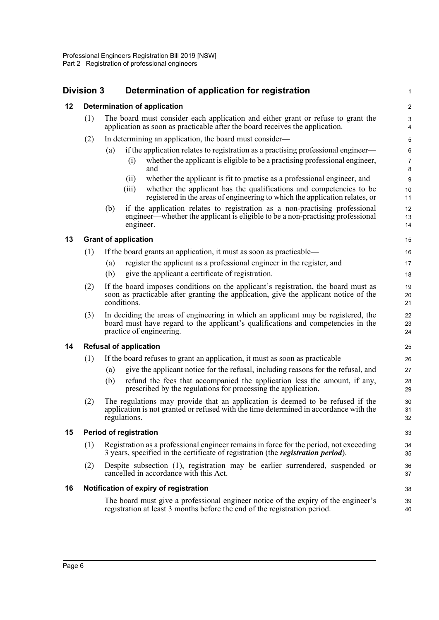# <span id="page-14-0"></span>**Division 3 Determination of application for registration**

<span id="page-14-5"></span><span id="page-14-4"></span><span id="page-14-3"></span><span id="page-14-2"></span><span id="page-14-1"></span>

| 12 |     | <b>Determination of application</b>                                                                                                                                                                         | $\overline{\mathbf{c}}$ |  |  |  |  |  |
|----|-----|-------------------------------------------------------------------------------------------------------------------------------------------------------------------------------------------------------------|-------------------------|--|--|--|--|--|
|    | (1) | The board must consider each application and either grant or refuse to grant the<br>application as soon as practicable after the board receives the application.                                            | $\mathsf 3$<br>4        |  |  |  |  |  |
|    | (2) | In determining an application, the board must consider—                                                                                                                                                     | 5                       |  |  |  |  |  |
|    |     | if the application relates to registration as a practising professional engineer—<br>(a)                                                                                                                    | 6                       |  |  |  |  |  |
|    |     | whether the applicant is eligible to be a practising professional engineer,<br>(i)<br>and                                                                                                                   | $\overline{7}$<br>8     |  |  |  |  |  |
|    |     | whether the applicant is fit to practise as a professional engineer, and<br>(ii)                                                                                                                            | 9                       |  |  |  |  |  |
|    |     | whether the applicant has the qualifications and competencies to be<br>(iii)<br>registered in the areas of engineering to which the application relates, or                                                 | 10<br>11                |  |  |  |  |  |
|    |     | if the application relates to registration as a non-practising professional<br>(b)<br>engineer—whether the applicant is eligible to be a non-practising professional<br>engineer.                           | 12<br>13<br>14          |  |  |  |  |  |
| 13 |     | <b>Grant of application</b>                                                                                                                                                                                 | 15                      |  |  |  |  |  |
|    | (1) | If the board grants an application, it must as soon as practicable—                                                                                                                                         | 16                      |  |  |  |  |  |
|    |     | register the applicant as a professional engineer in the register, and<br>(a)                                                                                                                               | 17                      |  |  |  |  |  |
|    |     | give the applicant a certificate of registration.<br>(b)                                                                                                                                                    | 18                      |  |  |  |  |  |
|    | (2) | If the board imposes conditions on the applicant's registration, the board must as<br>19<br>soon as practicable after granting the application, give the applicant notice of the<br>20<br>conditions.<br>21 |                         |  |  |  |  |  |
|    | (3) | In deciding the areas of engineering in which an applicant may be registered, the<br>board must have regard to the applicant's qualifications and competencies in the<br>practice of engineering.           | 22<br>23<br>24          |  |  |  |  |  |
| 14 |     | <b>Refusal of application</b>                                                                                                                                                                               | 25                      |  |  |  |  |  |
|    | (1) | If the board refuses to grant an application, it must as soon as practicable—                                                                                                                               | 26                      |  |  |  |  |  |
|    |     | give the applicant notice for the refusal, including reasons for the refusal, and<br>(a)                                                                                                                    | 27                      |  |  |  |  |  |
|    |     | (b)<br>refund the fees that accompanied the application less the amount, if any,<br>prescribed by the regulations for processing the application.                                                           | 28<br>29                |  |  |  |  |  |
|    | (2) | The regulations may provide that an application is deemed to be refused if the<br>application is not granted or refused with the time determined in accordance with the<br>regulations.                     | 30<br>31<br>32          |  |  |  |  |  |
| 15 |     | <b>Period of registration</b>                                                                                                                                                                               | 33                      |  |  |  |  |  |
|    | (1) | Registration as a professional engineer remains in force for the period, not exceeding<br>34<br>3 years, specified in the certificate of registration (the <i>registration period</i> ).<br>35              |                         |  |  |  |  |  |
|    | (2) | Despite subsection (1), registration may be earlier surrendered, suspended or<br>cancelled in accordance with this Act.                                                                                     | 36<br>37                |  |  |  |  |  |
| 16 |     | Notification of expiry of registration                                                                                                                                                                      | 38                      |  |  |  |  |  |
|    |     | The board must give a professional engineer notice of the expiry of the engineer's<br>registration at least 3 months before the end of the registration period.                                             | 39<br>40                |  |  |  |  |  |
|    |     |                                                                                                                                                                                                             |                         |  |  |  |  |  |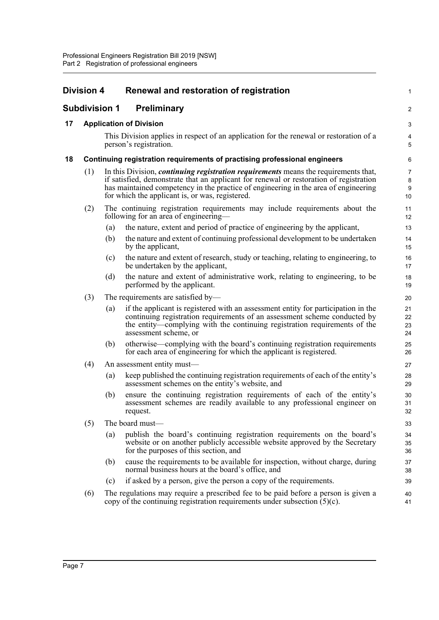<span id="page-15-3"></span><span id="page-15-2"></span><span id="page-15-1"></span><span id="page-15-0"></span>

|    | <b>Division 4</b>    | Renewal and restoration of registration                                                                                                                                                                                                                                                                                        | 1                       |
|----|----------------------|--------------------------------------------------------------------------------------------------------------------------------------------------------------------------------------------------------------------------------------------------------------------------------------------------------------------------------|-------------------------|
|    | <b>Subdivision 1</b> | <b>Preliminary</b>                                                                                                                                                                                                                                                                                                             | $\overline{\mathbf{c}}$ |
| 17 |                      | <b>Application of Division</b>                                                                                                                                                                                                                                                                                                 | 3                       |
|    |                      | This Division applies in respect of an application for the renewal or restoration of a<br>person's registration.                                                                                                                                                                                                               | 4<br>5                  |
| 18 |                      | Continuing registration requirements of practising professional engineers                                                                                                                                                                                                                                                      | 6                       |
|    | (1)                  | In this Division, <i>continuing registration requirements</i> means the requirements that,<br>if satisfied, demonstrate that an applicant for renewal or restoration of registration<br>has maintained competency in the practice of engineering in the area of engineering<br>for which the applicant is, or was, registered. | 7<br>8<br>9<br>10       |
|    | (2)                  | The continuing registration requirements may include requirements about the<br>following for an area of engineering-                                                                                                                                                                                                           | 11<br>12                |
|    |                      | the nature, extent and period of practice of engineering by the applicant,<br>(a)                                                                                                                                                                                                                                              | 13                      |
|    |                      | (b)<br>the nature and extent of continuing professional development to be undertaken<br>by the applicant,                                                                                                                                                                                                                      | 14<br>15                |
|    |                      | the nature and extent of research, study or teaching, relating to engineering, to<br>(c)<br>be undertaken by the applicant,                                                                                                                                                                                                    | 16<br>17                |
|    |                      | (d)<br>the nature and extent of administrative work, relating to engineering, to be<br>performed by the applicant.                                                                                                                                                                                                             | 18<br>19                |
|    | (3)                  | The requirements are satisfied by-                                                                                                                                                                                                                                                                                             | 20                      |
|    |                      | if the applicant is registered with an assessment entity for participation in the<br>(a)<br>continuing registration requirements of an assessment scheme conducted by<br>the entity-complying with the continuing registration requirements of the<br>assessment scheme, or                                                    | 21<br>22<br>23<br>24    |
|    |                      | (b)<br>otherwise—complying with the board's continuing registration requirements<br>for each area of engineering for which the applicant is registered.                                                                                                                                                                        | 25<br>26                |
|    | (4)                  | An assessment entity must—                                                                                                                                                                                                                                                                                                     | 27                      |
|    |                      | keep published the continuing registration requirements of each of the entity's<br>(a)<br>assessment schemes on the entity's website, and                                                                                                                                                                                      | 28<br>29                |
|    |                      | ensure the continuing registration requirements of each of the entity's<br>(b)<br>assessment schemes are readily available to any professional engineer on<br>request.                                                                                                                                                         | 30<br>31<br>32          |
|    | (5)                  | The board must-                                                                                                                                                                                                                                                                                                                | 33                      |
|    |                      | publish the board's continuing registration requirements on the board's<br>(a)<br>website or on another publicly accessible website approved by the Secretary<br>for the purposes of this section, and                                                                                                                         | 34<br>35<br>36          |
|    |                      | cause the requirements to be available for inspection, without charge, during<br>(b)<br>normal business hours at the board's office, and                                                                                                                                                                                       | 37<br>38                |
|    |                      | if asked by a person, give the person a copy of the requirements.<br>(c)                                                                                                                                                                                                                                                       | 39                      |
|    | (6)                  | The regulations may require a prescribed fee to be paid before a person is given a<br>copy of the continuing registration requirements under subsection $(5)(c)$ .                                                                                                                                                             | 40<br>41                |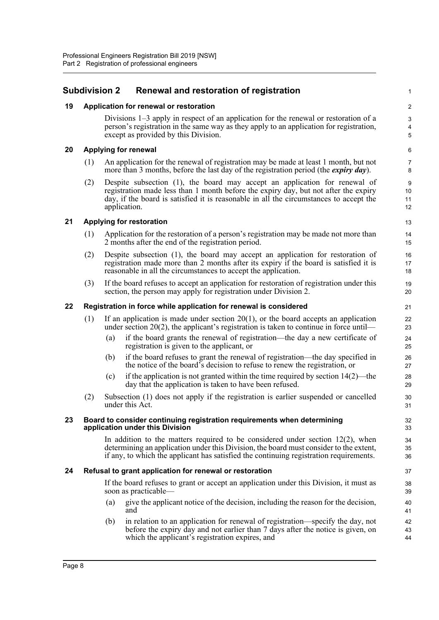## <span id="page-16-0"></span>**Subdivision 2 Renewal and restoration of registration**

### <span id="page-16-1"></span>**19 Application for renewal or restoration**

Divisions 1–3 apply in respect of an application for the renewal or restoration of a person's registration in the same way as they apply to an application for registration, except as provided by this Division.

1

### <span id="page-16-2"></span>**20 Applying for renewal**

- (1) An application for the renewal of registration may be made at least 1 month, but not more than 3 months, before the last day of the registration period (the *expiry day*).
- (2) Despite subsection (1), the board may accept an application for renewal of registration made less than 1 month before the expiry day, but not after the expiry day, if the board is satisfied it is reasonable in all the circumstances to accept the application.

### <span id="page-16-3"></span>**21 Applying for restoration**

- (1) Application for the restoration of a person's registration may be made not more than 2 months after the end of the registration period.
- (2) Despite subsection (1), the board may accept an application for restoration of registration made more than 2 months after its expiry if the board is satisfied it is reasonable in all the circumstances to accept the application.
- (3) If the board refuses to accept an application for restoration of registration under this section, the person may apply for registration under Division 2.

### <span id="page-16-4"></span>**22 Registration in force while application for renewal is considered**

- (1) If an application is made under section 20(1), or the board accepts an application under section 20(2), the applicant's registration is taken to continue in force until—
	- (a) if the board grants the renewal of registration—the day a new certificate of registration is given to the applicant, or
	- (b) if the board refuses to grant the renewal of registration—the day specified in the notice of the board's decision to refuse to renew the registration, or
	- (c) if the application is not granted within the time required by section  $14(2)$ —the day that the application is taken to have been refused.
- (2) Subsection (1) does not apply if the registration is earlier suspended or cancelled under this Act.

### <span id="page-16-5"></span>**23 Board to consider continuing registration requirements when determining application under this Division**

In addition to the matters required to be considered under section  $12(2)$ , when determining an application under this Division, the board must consider to the extent, if any, to which the applicant has satisfied the continuing registration requirements.

### <span id="page-16-6"></span>**24 Refusal to grant application for renewal or restoration**

If the board refuses to grant or accept an application under this Division, it must as soon as practicable—

- (a) give the applicant notice of the decision, including the reason for the decision, and
- (b) in relation to an application for renewal of registration—specify the day, not before the expiry day and not earlier than 7 days after the notice is given, on which the applicant's registration expires, and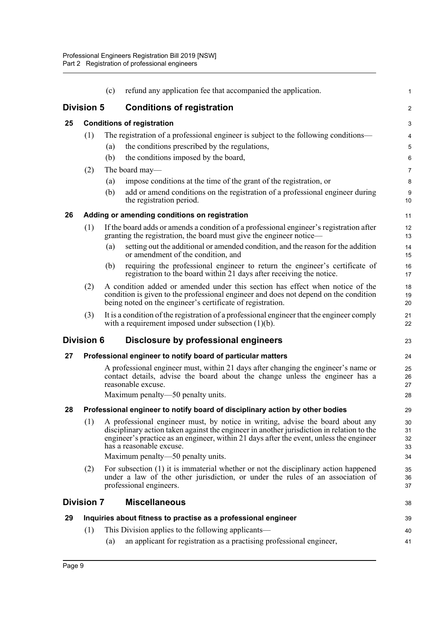<span id="page-17-7"></span><span id="page-17-6"></span><span id="page-17-5"></span><span id="page-17-4"></span><span id="page-17-3"></span><span id="page-17-2"></span><span id="page-17-1"></span><span id="page-17-0"></span>

|    |                                   | (c) | refund any application fee that accompanied the application.                                                                                                                                                                                                                                                                            | $\mathbf{1}$               |
|----|-----------------------------------|-----|-----------------------------------------------------------------------------------------------------------------------------------------------------------------------------------------------------------------------------------------------------------------------------------------------------------------------------------------|----------------------------|
|    | <b>Division 5</b>                 |     | <b>Conditions of registration</b>                                                                                                                                                                                                                                                                                                       | $\overline{2}$             |
| 25 | <b>Conditions of registration</b> |     |                                                                                                                                                                                                                                                                                                                                         |                            |
|    | (1)                               |     | The registration of a professional engineer is subject to the following conditions-                                                                                                                                                                                                                                                     | 4                          |
|    |                                   | (a) | the conditions prescribed by the regulations,                                                                                                                                                                                                                                                                                           | 5                          |
|    |                                   | (b) | the conditions imposed by the board,                                                                                                                                                                                                                                                                                                    | 6                          |
|    | (2)                               |     | The board may—                                                                                                                                                                                                                                                                                                                          | $\overline{7}$             |
|    |                                   | (a) | impose conditions at the time of the grant of the registration, or                                                                                                                                                                                                                                                                      | 8                          |
|    |                                   | (b) | add or amend conditions on the registration of a professional engineer during<br>the registration period.                                                                                                                                                                                                                               | $9\,$<br>10                |
| 26 |                                   |     | Adding or amending conditions on registration                                                                                                                                                                                                                                                                                           | 11                         |
|    | (1)                               |     | If the board adds or amends a condition of a professional engineer's registration after<br>granting the registration, the board must give the engineer notice—                                                                                                                                                                          | 12<br>13                   |
|    |                                   | (a) | setting out the additional or amended condition, and the reason for the addition<br>or amendment of the condition, and                                                                                                                                                                                                                  | 14<br>15                   |
|    |                                   | (b) | requiring the professional engineer to return the engineer's certificate of<br>registration to the board within 21 days after receiving the notice.                                                                                                                                                                                     | 16<br>17                   |
|    | (2)                               |     | A condition added or amended under this section has effect when notice of the<br>condition is given to the professional engineer and does not depend on the condition<br>being noted on the engineer's certificate of registration.                                                                                                     | 18<br>19<br>20             |
|    | (3)                               |     | It is a condition of the registration of a professional engineer that the engineer comply<br>with a requirement imposed under subsection $(1)(b)$ .                                                                                                                                                                                     | 21<br>22                   |
|    | <b>Division 6</b>                 |     | Disclosure by professional engineers                                                                                                                                                                                                                                                                                                    | 23                         |
| 27 |                                   |     | Professional engineer to notify board of particular matters                                                                                                                                                                                                                                                                             | 24                         |
|    |                                   |     | A professional engineer must, within 21 days after changing the engineer's name or<br>contact details, advise the board about the change unless the engineer has a<br>reasonable excuse.                                                                                                                                                | 25<br>26<br>27             |
|    |                                   |     | Maximum penalty—50 penalty units.                                                                                                                                                                                                                                                                                                       | 28                         |
| 28 |                                   |     | Professional engineer to notify board of disciplinary action by other bodies                                                                                                                                                                                                                                                            | 29                         |
|    | (1)                               |     | A professional engineer must, by notice in writing, advise the board about any<br>disciplinary action taken against the engineer in another jurisdiction in relation to the<br>engineer's practice as an engineer, within 21 days after the event, unless the engineer<br>has a reasonable excuse.<br>Maximum penalty—50 penalty units. | 30<br>31<br>32<br>33<br>34 |
|    | (2)                               |     | For subsection (1) it is immaterial whether or not the disciplinary action happened<br>under a law of the other jurisdiction, or under the rules of an association of                                                                                                                                                                   | 35<br>36                   |
|    |                                   |     | professional engineers.                                                                                                                                                                                                                                                                                                                 | 37                         |
|    | <b>Division 7</b>                 |     | <b>Miscellaneous</b>                                                                                                                                                                                                                                                                                                                    | 38                         |
| 29 |                                   |     | Inquiries about fitness to practise as a professional engineer                                                                                                                                                                                                                                                                          | 39                         |
|    | (1)                               |     | This Division applies to the following applicants—                                                                                                                                                                                                                                                                                      | 40                         |
|    |                                   | (a) | an applicant for registration as a practising professional engineer,                                                                                                                                                                                                                                                                    | 41                         |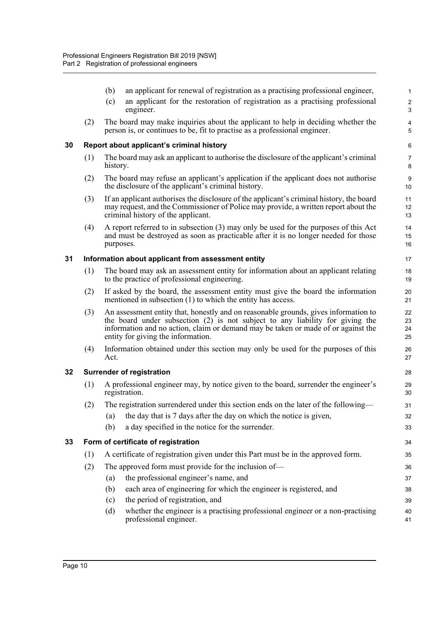<span id="page-18-3"></span><span id="page-18-2"></span><span id="page-18-1"></span><span id="page-18-0"></span>

|    |     | an applicant for renewal of registration as a practising professional engineer,<br>(b)<br>an applicant for the restoration of registration as a practising professional<br>(c)<br>engineer.                                                                                                     | 1<br>$\sqrt{2}$<br>3 |
|----|-----|-------------------------------------------------------------------------------------------------------------------------------------------------------------------------------------------------------------------------------------------------------------------------------------------------|----------------------|
|    | (2) | The board may make inquiries about the applicant to help in deciding whether the<br>person is, or continues to be, fit to practise as a professional engineer.                                                                                                                                  | 4<br>5               |
| 30 |     | Report about applicant's criminal history                                                                                                                                                                                                                                                       | 6                    |
|    | (1) | The board may ask an applicant to authorise the disclosure of the applicant's criminal<br>history.                                                                                                                                                                                              | $\overline{7}$<br>8  |
|    | (2) | The board may refuse an applicant's application if the applicant does not authorise<br>the disclosure of the applicant's criminal history.                                                                                                                                                      | 9<br>10              |
|    | (3) | If an applicant authorises the disclosure of the applicant's criminal history, the board<br>may request, and the Commissioner of Police may provide, a written report about the<br>criminal history of the applicant.                                                                           | 11<br>12<br>13       |
|    | (4) | A report referred to in subsection (3) may only be used for the purposes of this Act<br>and must be destroyed as soon as practicable after it is no longer needed for those<br>purposes.                                                                                                        | 14<br>15<br>16       |
| 31 |     | Information about applicant from assessment entity                                                                                                                                                                                                                                              | 17                   |
|    | (1) | The board may ask an assessment entity for information about an applicant relating<br>to the practice of professional engineering.                                                                                                                                                              | 18<br>19             |
|    | (2) | If asked by the board, the assessment entity must give the board the information<br>mentioned in subsection $(1)$ to which the entity has access.                                                                                                                                               | 20<br>21             |
|    | (3) | An assessment entity that, honestly and on reasonable grounds, gives information to<br>the board under subsection (2) is not subject to any liability for giving the<br>information and no action, claim or demand may be taken or made of or against the<br>entity for giving the information. | 22<br>23<br>24<br>25 |
|    | (4) | Information obtained under this section may only be used for the purposes of this<br>Act.                                                                                                                                                                                                       | 26<br>27             |
| 32 |     | <b>Surrender of registration</b>                                                                                                                                                                                                                                                                | 28                   |
|    | (1) | A professional engineer may, by notice given to the board, surrender the engineer's<br>registration.                                                                                                                                                                                            | 29<br>30             |
|    | (2) | The registration surrendered under this section ends on the later of the following—                                                                                                                                                                                                             | 31                   |
|    |     | the day that is 7 days after the day on which the notice is given,<br>(a)                                                                                                                                                                                                                       | 32                   |
|    |     | a day specified in the notice for the surrender.<br>(b)                                                                                                                                                                                                                                         | 33                   |
| 33 |     | Form of certificate of registration                                                                                                                                                                                                                                                             | 34                   |
|    | (1) | A certificate of registration given under this Part must be in the approved form.                                                                                                                                                                                                               | 35                   |
|    | (2) | The approved form must provide for the inclusion of-                                                                                                                                                                                                                                            | 36                   |
|    |     | the professional engineer's name, and<br>(a)                                                                                                                                                                                                                                                    | 37                   |
|    |     | each area of engineering for which the engineer is registered, and<br>(b)                                                                                                                                                                                                                       | 38                   |
|    |     | the period of registration, and<br>(c)                                                                                                                                                                                                                                                          | 39                   |
|    |     | whether the engineer is a practising professional engineer or a non-practising<br>(d)<br>professional engineer.                                                                                                                                                                                 | 40<br>41             |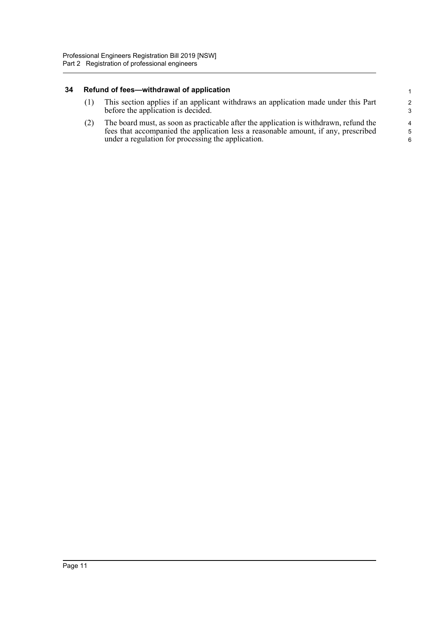### <span id="page-19-0"></span>**34 Refund of fees—withdrawal of application**

|  | This section applies if an applicant withdraws an application made under this Part<br>before the application is decided. |
|--|--------------------------------------------------------------------------------------------------------------------------|
|--|--------------------------------------------------------------------------------------------------------------------------|

(2) The board must, as soon as practicable after the application is withdrawn, refund the fees that accompanied the application less a reasonable amount, if any, prescribed under a regulation for processing the application.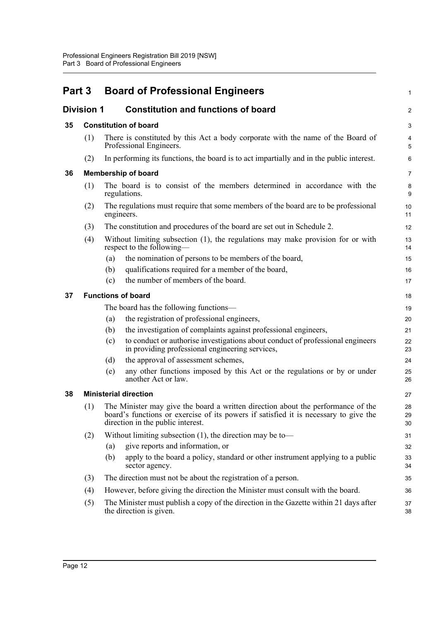<span id="page-20-5"></span><span id="page-20-4"></span><span id="page-20-3"></span><span id="page-20-2"></span><span id="page-20-1"></span><span id="page-20-0"></span>

|    | Part 3<br><b>Board of Professional Engineers</b> |                                                                                                                                                                                                               |                |
|----|--------------------------------------------------|---------------------------------------------------------------------------------------------------------------------------------------------------------------------------------------------------------------|----------------|
|    | <b>Division 1</b>                                | <b>Constitution and functions of board</b>                                                                                                                                                                    | $\overline{c}$ |
| 35 |                                                  | <b>Constitution of board</b>                                                                                                                                                                                  | 3              |
|    | (1)                                              | There is constituted by this Act a body corporate with the name of the Board of<br>Professional Engineers.                                                                                                    | 4<br>5         |
|    | (2)                                              | In performing its functions, the board is to act impartially and in the public interest.                                                                                                                      | 6              |
| 36 |                                                  | <b>Membership of board</b>                                                                                                                                                                                    | $\overline{7}$ |
|    | (1)                                              | The board is to consist of the members determined in accordance with the<br>regulations.                                                                                                                      | 8<br>9         |
|    | (2)                                              | The regulations must require that some members of the board are to be professional<br>engineers.                                                                                                              | 10<br>11       |
|    | (3)                                              | The constitution and procedures of the board are set out in Schedule 2.                                                                                                                                       | 12             |
|    | (4)                                              | Without limiting subsection (1), the regulations may make provision for or with<br>respect to the following—                                                                                                  | 13<br>14       |
|    |                                                  | the nomination of persons to be members of the board,<br>(a)                                                                                                                                                  | 15             |
|    |                                                  | qualifications required for a member of the board,<br>(b)                                                                                                                                                     | 16             |
|    |                                                  | the number of members of the board.<br>(c)                                                                                                                                                                    | 17             |
| 37 |                                                  | <b>Functions of board</b>                                                                                                                                                                                     | 18             |
|    |                                                  | The board has the following functions—                                                                                                                                                                        | 19             |
|    |                                                  | the registration of professional engineers,<br>(a)                                                                                                                                                            | 20             |
|    |                                                  | the investigation of complaints against professional engineers,<br>(b)                                                                                                                                        | 21             |
|    |                                                  | to conduct or authorise investigations about conduct of professional engineers<br>(c)<br>in providing professional engineering services,                                                                      | 22<br>23       |
|    |                                                  | the approval of assessment schemes,<br>(d)                                                                                                                                                                    | 24             |
|    |                                                  | any other functions imposed by this Act or the regulations or by or under<br>(e)<br>another Act or law.                                                                                                       | 25<br>26       |
| 38 |                                                  | <b>Ministerial direction</b>                                                                                                                                                                                  | 27             |
|    | (1)                                              | The Minister may give the board a written direction about the performance of the<br>board's functions or exercise of its powers if satisfied it is necessary to give the<br>direction in the public interest. | 28<br>29<br>30 |
|    | (2)                                              | Without limiting subsection $(1)$ , the direction may be to-                                                                                                                                                  | 31             |
|    |                                                  | give reports and information, or<br>(a)                                                                                                                                                                       | 32             |
|    |                                                  | apply to the board a policy, standard or other instrument applying to a public<br>(b)<br>sector agency.                                                                                                       | 33<br>34       |
|    | (3)                                              | The direction must not be about the registration of a person.                                                                                                                                                 | 35             |
|    | (4)                                              | However, before giving the direction the Minister must consult with the board.                                                                                                                                | 36             |
|    | (5)                                              | The Minister must publish a copy of the direction in the Gazette within 21 days after<br>the direction is given.                                                                                              | 37<br>38       |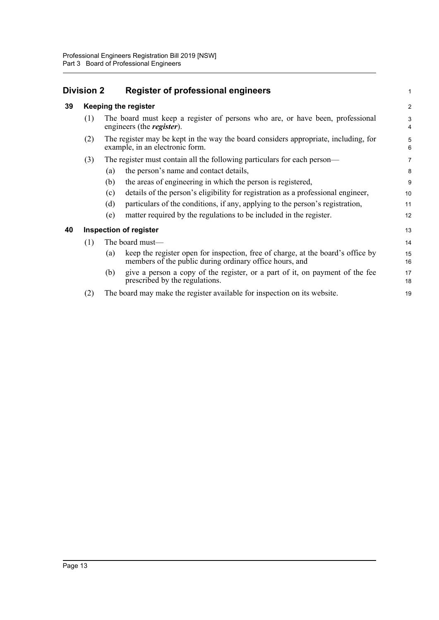<span id="page-21-2"></span><span id="page-21-1"></span><span id="page-21-0"></span>

|    | <b>Division 2</b> | <b>Register of professional engineers</b>                                                                                                         | $\mathbf{1}$   |
|----|-------------------|---------------------------------------------------------------------------------------------------------------------------------------------------|----------------|
| 39 |                   | <b>Keeping the register</b>                                                                                                                       | $\overline{2}$ |
|    | (1)               | The board must keep a register of persons who are, or have been, professional<br>engineers (the <i>register</i> ).                                | 3<br>4         |
|    | (2)               | The register may be kept in the way the board considers appropriate, including, for<br>example, in an electronic form.                            | 5<br>6         |
|    | (3)               | The register must contain all the following particulars for each person—                                                                          | $\overline{7}$ |
|    |                   | the person's name and contact details,<br>(a)                                                                                                     | 8              |
|    |                   | the areas of engineering in which the person is registered,<br>(b)                                                                                | 9              |
|    |                   | details of the person's eligibility for registration as a professional engineer,<br>(c)                                                           | 10             |
|    |                   | particulars of the conditions, if any, applying to the person's registration,<br>(d)                                                              | 11             |
|    |                   | matter required by the regulations to be included in the register.<br>(e)                                                                         | 12             |
| 40 |                   | <b>Inspection of register</b>                                                                                                                     | 13             |
|    | (1)               | The board must-                                                                                                                                   | 14             |
|    |                   | keep the register open for inspection, free of charge, at the board's office by<br>(a)<br>members of the public during ordinary office hours, and | 15<br>16       |
|    |                   | give a person a copy of the register, or a part of it, on payment of the fee<br>(b)<br>prescribed by the regulations.                             | 17<br>18       |
|    | (2)               | The board may make the register available for inspection on its website.                                                                          | 19             |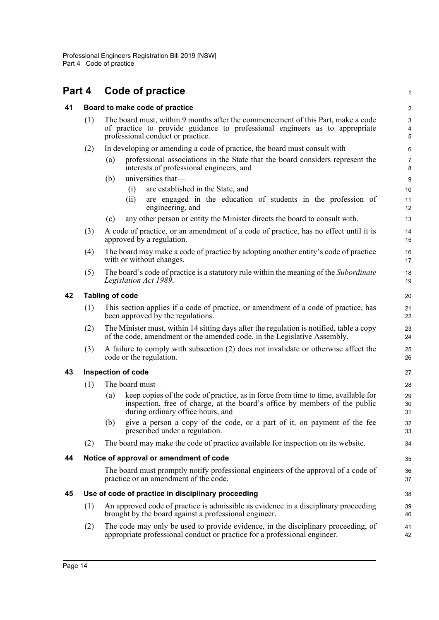<span id="page-22-5"></span><span id="page-22-4"></span><span id="page-22-3"></span><span id="page-22-2"></span><span id="page-22-1"></span><span id="page-22-0"></span>

| Part 4 |                                                    | Code of practice                                                                                                                                                                                            | $\mathbf{1}$                                  |  |  |  |
|--------|----------------------------------------------------|-------------------------------------------------------------------------------------------------------------------------------------------------------------------------------------------------------------|-----------------------------------------------|--|--|--|
| 41     |                                                    | Board to make code of practice                                                                                                                                                                              | 2                                             |  |  |  |
|        | (1)                                                | The board must, within 9 months after the commencement of this Part, make a code<br>of practice to provide guidance to professional engineers as to appropriate<br>professional conduct or practice.        | $\mathbf{3}$<br>$\overline{4}$<br>$\mathbf 5$ |  |  |  |
|        | (2)                                                | In developing or amending a code of practice, the board must consult with—                                                                                                                                  | 6                                             |  |  |  |
|        |                                                    | professional associations in the State that the board considers represent the<br>(a)<br>interests of professional engineers, and                                                                            | $\overline{7}$<br>8                           |  |  |  |
|        |                                                    | universities that-<br>(b)                                                                                                                                                                                   | 9                                             |  |  |  |
|        |                                                    | are established in the State, and<br>(i)<br>are engaged in the education of students in the profession of<br>(i)<br>engineering, and                                                                        | 10<br>11<br>12                                |  |  |  |
|        |                                                    | any other person or entity the Minister directs the board to consult with.<br>(c)                                                                                                                           | 13                                            |  |  |  |
|        | (3)                                                | A code of practice, or an amendment of a code of practice, has no effect until it is<br>approved by a regulation.                                                                                           | 14<br>15                                      |  |  |  |
|        | (4)                                                | The board may make a code of practice by adopting another entity's code of practice<br>with or without changes.                                                                                             | 16<br>17                                      |  |  |  |
|        | (5)                                                | The board's code of practice is a statutory rule within the meaning of the <i>Subordinate</i><br>Legislation Act 1989.                                                                                      | 18<br>19                                      |  |  |  |
| 42     |                                                    | <b>Tabling of code</b>                                                                                                                                                                                      | 20                                            |  |  |  |
|        | (1)                                                | This section applies if a code of practice, or amendment of a code of practice, has<br>been approved by the regulations.                                                                                    | 21<br>22                                      |  |  |  |
|        | (2)                                                | The Minister must, within 14 sitting days after the regulation is notified, table a copy<br>of the code, amendment or the amended code, in the Legislative Assembly.                                        | 23<br>24                                      |  |  |  |
|        | (3)                                                | A failure to comply with subsection (2) does not invalidate or otherwise affect the<br>code or the regulation.                                                                                              |                                               |  |  |  |
| 43     |                                                    | <b>Inspection of code</b>                                                                                                                                                                                   | 27                                            |  |  |  |
|        | (1)                                                | The board must-                                                                                                                                                                                             | 28                                            |  |  |  |
|        |                                                    | keep copies of the code of practice, as in force from time to time, available for<br>(a)<br>inspection, free of charge, at the board's office by members of the public<br>during ordinary office hours, and | 29<br>30<br>31                                |  |  |  |
|        |                                                    | give a person a copy of the code, or a part of it, on payment of the fee<br>(b)<br>prescribed under a regulation.                                                                                           | 32<br>33                                      |  |  |  |
|        | (2)                                                | The board may make the code of practice available for inspection on its website.                                                                                                                            | 34                                            |  |  |  |
| 44     |                                                    | Notice of approval or amendment of code                                                                                                                                                                     | 35                                            |  |  |  |
|        |                                                    | The board must promptly notify professional engineers of the approval of a code of<br>practice or an amendment of the code.                                                                                 | 36<br>37                                      |  |  |  |
| 45     | Use of code of practice in disciplinary proceeding |                                                                                                                                                                                                             |                                               |  |  |  |
|        | (1)                                                | An approved code of practice is admissible as evidence in a disciplinary proceeding<br>brought by the board against a professional engineer.                                                                | 39<br>40                                      |  |  |  |
|        | (2)                                                | The code may only be used to provide evidence, in the disciplinary proceeding, of<br>appropriate professional conduct or practice for a professional engineer.                                              | 41<br>42                                      |  |  |  |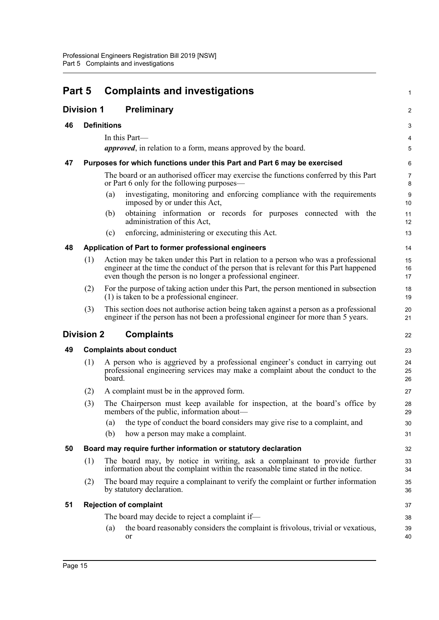<span id="page-23-8"></span><span id="page-23-7"></span><span id="page-23-6"></span><span id="page-23-5"></span><span id="page-23-4"></span><span id="page-23-3"></span><span id="page-23-2"></span><span id="page-23-1"></span><span id="page-23-0"></span>

| Part 5 |                   | <b>Complaints and investigations</b>                                                                                                                                                                                                         |                         |
|--------|-------------------|----------------------------------------------------------------------------------------------------------------------------------------------------------------------------------------------------------------------------------------------|-------------------------|
|        | <b>Division 1</b> | <b>Preliminary</b>                                                                                                                                                                                                                           | $\overline{\mathbf{c}}$ |
| 46     |                   | <b>Definitions</b>                                                                                                                                                                                                                           | 3                       |
|        |                   | In this Part-                                                                                                                                                                                                                                | 4                       |
|        |                   | <i>approved</i> , in relation to a form, means approved by the board.                                                                                                                                                                        | 5                       |
| 47     |                   | Purposes for which functions under this Part and Part 6 may be exercised                                                                                                                                                                     | 6                       |
|        |                   | The board or an authorised officer may exercise the functions conferred by this Part<br>or Part 6 only for the following purposes—                                                                                                           | 7<br>8                  |
|        |                   | investigating, monitoring and enforcing compliance with the requirements<br>(a)<br>imposed by or under this Act,                                                                                                                             | 9<br>10                 |
|        |                   | obtaining information or records for purposes connected with the<br>(b)<br>administration of this Act,                                                                                                                                       | 11<br>12                |
|        |                   | enforcing, administering or executing this Act.<br>(c)                                                                                                                                                                                       | 13                      |
| 48     |                   | Application of Part to former professional engineers                                                                                                                                                                                         | 14                      |
|        | (1)               | Action may be taken under this Part in relation to a person who was a professional<br>engineer at the time the conduct of the person that is relevant for this Part happened<br>even though the person is no longer a professional engineer. | 15<br>16<br>17          |
|        | (2)               | For the purpose of taking action under this Part, the person mentioned in subsection<br>$(1)$ is taken to be a professional engineer.                                                                                                        | 18<br>19                |
|        | (3)               | This section does not authorise action being taken against a person as a professional<br>engineer if the person has not been a professional engineer for more than 5 years.                                                                  | 20<br>21                |
|        | <b>Division 2</b> | <b>Complaints</b>                                                                                                                                                                                                                            | 22                      |
| 49     |                   | <b>Complaints about conduct</b>                                                                                                                                                                                                              | 23                      |
|        | (1)               | A person who is aggrieved by a professional engineer's conduct in carrying out<br>professional engineering services may make a complaint about the conduct to the<br>board.                                                                  | 24<br>25<br>26          |
|        | (2)               | A complaint must be in the approved form.                                                                                                                                                                                                    | 27                      |
|        | (3)               | The Chairperson must keep available for inspection, at the board's office by<br>members of the public, information about—                                                                                                                    | 28<br>29                |
|        |                   | the type of conduct the board considers may give rise to a complaint, and<br>(a)                                                                                                                                                             | 30                      |
|        |                   | (b)<br>how a person may make a complaint.                                                                                                                                                                                                    | 31                      |
| 50     |                   | Board may require further information or statutory declaration                                                                                                                                                                               | 32                      |
|        | (1)               | The board may, by notice in writing, ask a complainant to provide further<br>information about the complaint within the reasonable time stated in the notice.                                                                                | 33<br>34                |
|        | (2)               | The board may require a complainant to verify the complaint or further information<br>by statutory declaration.                                                                                                                              | 35<br>36                |
| 51     |                   | <b>Rejection of complaint</b>                                                                                                                                                                                                                | 37                      |
|        |                   | The board may decide to reject a complaint if-                                                                                                                                                                                               | 38                      |
|        |                   | the board reasonably considers the complaint is frivolous, trivial or vexatious,<br>(a)<br>or                                                                                                                                                | 39<br>40                |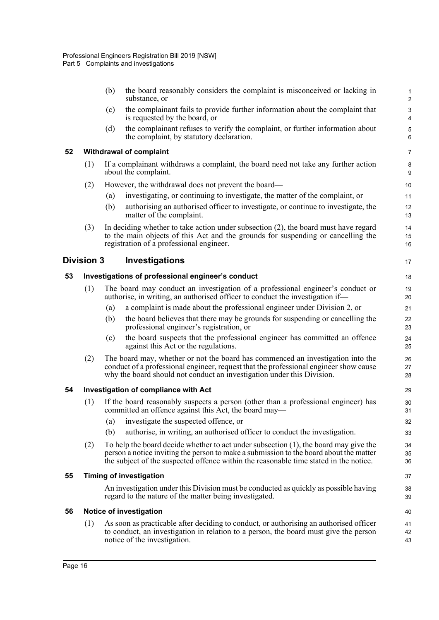<span id="page-24-5"></span><span id="page-24-4"></span><span id="page-24-3"></span><span id="page-24-2"></span><span id="page-24-1"></span><span id="page-24-0"></span>

|    |                   | (b) | the board reasonably considers the complaint is misconceived or lacking in<br>substance, or                                                                                                                                                                                | $\mathbf{1}$<br>$\overline{c}$ |
|----|-------------------|-----|----------------------------------------------------------------------------------------------------------------------------------------------------------------------------------------------------------------------------------------------------------------------------|--------------------------------|
|    |                   | (c) | the complainant fails to provide further information about the complaint that<br>is requested by the board, or                                                                                                                                                             | 3<br>4                         |
|    |                   | (d) | the complainant refuses to verify the complaint, or further information about<br>the complaint, by statutory declaration.                                                                                                                                                  | $\mathbf 5$<br>6               |
| 52 |                   |     | <b>Withdrawal of complaint</b>                                                                                                                                                                                                                                             | 7                              |
|    | (1)               |     | If a complainant withdraws a complaint, the board need not take any further action<br>about the complaint.                                                                                                                                                                 | $\bf 8$<br>9                   |
|    | (2)               |     | However, the withdrawal does not prevent the board—                                                                                                                                                                                                                        | 10                             |
|    |                   | (a) | investigating, or continuing to investigate, the matter of the complaint, or                                                                                                                                                                                               | 11                             |
|    |                   | (b) | authorising an authorised officer to investigate, or continue to investigate, the<br>matter of the complaint.                                                                                                                                                              | 12<br>13                       |
|    | (3)               |     | In deciding whether to take action under subsection $(2)$ , the board must have regard<br>to the main objects of this Act and the grounds for suspending or cancelling the<br>registration of a professional engineer.                                                     | 14<br>15<br>16                 |
|    | <b>Division 3</b> |     | Investigations                                                                                                                                                                                                                                                             | 17                             |
| 53 |                   |     | Investigations of professional engineer's conduct                                                                                                                                                                                                                          | 18                             |
|    | (1)               |     | The board may conduct an investigation of a professional engineer's conduct or<br>authorise, in writing, an authorised officer to conduct the investigation if-                                                                                                            | 19<br>20                       |
|    |                   | (a) | a complaint is made about the professional engineer under Division 2, or                                                                                                                                                                                                   | 21                             |
|    |                   | (b) | the board believes that there may be grounds for suspending or cancelling the<br>professional engineer's registration, or                                                                                                                                                  | 22<br>23                       |
|    |                   | (c) | the board suspects that the professional engineer has committed an offence<br>against this Act or the regulations.                                                                                                                                                         | 24<br>25                       |
|    | (2)               |     | The board may, whether or not the board has commenced an investigation into the<br>conduct of a professional engineer, request that the professional engineer show cause<br>why the board should not conduct an investigation under this Division.                         | 26<br>27<br>28                 |
| 54 |                   |     | Investigation of compliance with Act                                                                                                                                                                                                                                       | 29                             |
|    | (1)               |     | If the board reasonably suspects a person (other than a professional engineer) has<br>committed an offence against this Act, the board may-                                                                                                                                | 30<br>31                       |
|    |                   | (a) | investigate the suspected offence, or                                                                                                                                                                                                                                      | 32                             |
|    |                   | (b) | authorise, in writing, an authorised officer to conduct the investigation.                                                                                                                                                                                                 | 33                             |
|    | (2)               |     | To help the board decide whether to act under subsection $(1)$ , the board may give the<br>person a notice inviting the person to make a submission to the board about the matter<br>the subject of the suspected offence within the reasonable time stated in the notice. | 34<br>35<br>36                 |
| 55 |                   |     | <b>Timing of investigation</b>                                                                                                                                                                                                                                             | 37                             |
|    |                   |     | An investigation under this Division must be conducted as quickly as possible having<br>regard to the nature of the matter being investigated.                                                                                                                             | 38<br>39                       |
| 56 |                   |     | Notice of investigation                                                                                                                                                                                                                                                    | 40                             |
|    | (1)               |     | As soon as practicable after deciding to conduct, or authorising an authorised officer<br>to conduct, an investigation in relation to a person, the board must give the person<br>notice of the investigation.                                                             | 41<br>42<br>43                 |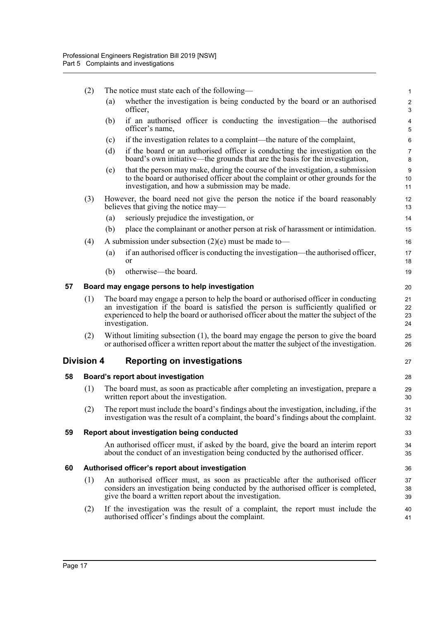<span id="page-25-4"></span><span id="page-25-3"></span><span id="page-25-2"></span><span id="page-25-1"></span><span id="page-25-0"></span>

|    | (2)                                | The notice must state each of the following—                                                                                                                                                                                                                                           | $\mathbf{1}$                           |  |
|----|------------------------------------|----------------------------------------------------------------------------------------------------------------------------------------------------------------------------------------------------------------------------------------------------------------------------------------|----------------------------------------|--|
|    |                                    | whether the investigation is being conducted by the board or an authorised<br>(a)<br>officer,                                                                                                                                                                                          | $\sqrt{2}$<br>3                        |  |
|    |                                    | if an authorised officer is conducting the investigation—the authorised<br>(b)<br>officer's name,                                                                                                                                                                                      | $\overline{\mathbf{4}}$<br>$\mathbf 5$ |  |
|    |                                    | if the investigation relates to a complaint—the nature of the complaint,<br>(c)                                                                                                                                                                                                        | 6                                      |  |
|    |                                    | (d)<br>if the board or an authorised officer is conducting the investigation on the<br>board's own initiative—the grounds that are the basis for the investigation,                                                                                                                    | $\boldsymbol{7}$<br>8                  |  |
|    |                                    | that the person may make, during the course of the investigation, a submission<br>(e)<br>to the board or authorised officer about the complaint or other grounds for the<br>investigation, and how a submission may be made.                                                           | $\boldsymbol{9}$<br>10<br>11           |  |
|    | (3)                                | However, the board need not give the person the notice if the board reasonably<br>believes that giving the notice may—                                                                                                                                                                 | 12<br>13                               |  |
|    |                                    | seriously prejudice the investigation, or<br>(a)                                                                                                                                                                                                                                       | 14                                     |  |
|    |                                    | place the complainant or another person at risk of harassment or intimidation.<br>(b)                                                                                                                                                                                                  | 15                                     |  |
|    | (4)                                | A submission under subsection $(2)(e)$ must be made to-                                                                                                                                                                                                                                | 16                                     |  |
|    |                                    | if an authorised officer is conducting the investigation—the authorised officer,<br>(a)<br><b>or</b>                                                                                                                                                                                   | 17<br>18                               |  |
|    |                                    | otherwise—the board.<br>(b)                                                                                                                                                                                                                                                            | 19                                     |  |
| 57 |                                    | Board may engage persons to help investigation                                                                                                                                                                                                                                         | 20                                     |  |
|    | (1)                                | The board may engage a person to help the board or authorised officer in conducting<br>an investigation if the board is satisfied the person is sufficiently qualified or<br>experienced to help the board or authorised officer about the matter the subject of the<br>investigation. | 21<br>22<br>23<br>24                   |  |
|    | (2)                                | Without limiting subsection (1), the board may engage the person to give the board<br>or authorised officer a written report about the matter the subject of the investigation.                                                                                                        | 25<br>26                               |  |
|    | <b>Division 4</b>                  | <b>Reporting on investigations</b>                                                                                                                                                                                                                                                     | 27                                     |  |
| 58 | Board's report about investigation |                                                                                                                                                                                                                                                                                        |                                        |  |
|    | (1)                                | The board must, as soon as practicable after completing an investigation, prepare a<br>written report about the investigation.                                                                                                                                                         | 29<br>30                               |  |
|    | (2)                                | The report must include the board's findings about the investigation, including, if the<br>investigation was the result of a complaint, the board's findings about the complaint.                                                                                                      | 31<br>32                               |  |
| 59 |                                    | Report about investigation being conducted                                                                                                                                                                                                                                             | 33                                     |  |
|    |                                    | An authorised officer must, if asked by the board, give the board an interim report<br>about the conduct of an investigation being conducted by the authorised officer.                                                                                                                | 34<br>35                               |  |
| 60 |                                    | Authorised officer's report about investigation                                                                                                                                                                                                                                        | 36                                     |  |
|    | (1)                                | An authorised officer must, as soon as practicable after the authorised officer<br>considers an investigation being conducted by the authorised officer is completed,<br>give the board a written report about the investigation.                                                      | 37<br>38<br>39                         |  |
|    | (2)                                | If the investigation was the result of a complaint, the report must include the<br>authorised officer's findings about the complaint.                                                                                                                                                  | 40<br>41                               |  |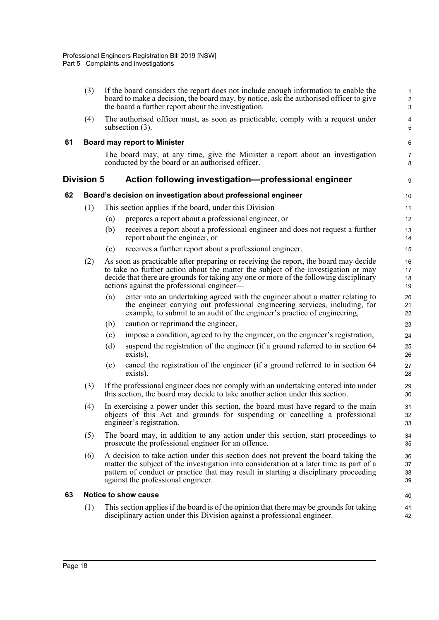<span id="page-26-3"></span><span id="page-26-2"></span><span id="page-26-1"></span><span id="page-26-0"></span>

|    | (3)               |                                                                                                                                                                                                                                                                                                             | If the board considers the report does not include enough information to enable the<br>board to make a decision, the board may, by notice, ask the authorised officer to give<br>the board a further report about the investigation.                                                                               | $\mathbf{1}$<br>$\sqrt{2}$<br>$\mathbf{3}$ |
|----|-------------------|-------------------------------------------------------------------------------------------------------------------------------------------------------------------------------------------------------------------------------------------------------------------------------------------------------------|--------------------------------------------------------------------------------------------------------------------------------------------------------------------------------------------------------------------------------------------------------------------------------------------------------------------|--------------------------------------------|
|    | (4)               | subsection $(3)$ .                                                                                                                                                                                                                                                                                          | The authorised officer must, as soon as practicable, comply with a request under                                                                                                                                                                                                                                   | 4<br>5                                     |
| 61 |                   |                                                                                                                                                                                                                                                                                                             | <b>Board may report to Minister</b>                                                                                                                                                                                                                                                                                | $\,6\,$                                    |
|    |                   |                                                                                                                                                                                                                                                                                                             | The board may, at any time, give the Minister a report about an investigation<br>conducted by the board or an authorised officer.                                                                                                                                                                                  | $\overline{7}$<br>8                        |
|    | <b>Division 5</b> |                                                                                                                                                                                                                                                                                                             | Action following investigation-professional engineer                                                                                                                                                                                                                                                               | 9                                          |
| 62 |                   |                                                                                                                                                                                                                                                                                                             | Board's decision on investigation about professional engineer                                                                                                                                                                                                                                                      | 10                                         |
|    | (1)               |                                                                                                                                                                                                                                                                                                             | This section applies if the board, under this Division—                                                                                                                                                                                                                                                            | 11                                         |
|    |                   | (a)                                                                                                                                                                                                                                                                                                         | prepares a report about a professional engineer, or                                                                                                                                                                                                                                                                | 12                                         |
|    |                   | (b)                                                                                                                                                                                                                                                                                                         | receives a report about a professional engineer and does not request a further<br>report about the engineer, or                                                                                                                                                                                                    | 13<br>14                                   |
|    |                   | (c)                                                                                                                                                                                                                                                                                                         | receives a further report about a professional engineer.                                                                                                                                                                                                                                                           | 15                                         |
|    | (2)               |                                                                                                                                                                                                                                                                                                             | As soon as practicable after preparing or receiving the report, the board may decide<br>to take no further action about the matter the subject of the investigation or may<br>decide that there are grounds for taking any one or more of the following disciplinary<br>actions against the professional engineer— | 16<br>17<br>18<br>19                       |
|    |                   | (a)                                                                                                                                                                                                                                                                                                         | enter into an undertaking agreed with the engineer about a matter relating to<br>the engineer carrying out professional engineering services, including, for<br>example, to submit to an audit of the engineer's practice of engineering,                                                                          | 20<br>21<br>22                             |
|    |                   | (b)                                                                                                                                                                                                                                                                                                         | caution or reprimand the engineer,                                                                                                                                                                                                                                                                                 | 23                                         |
|    |                   | (c)                                                                                                                                                                                                                                                                                                         | impose a condition, agreed to by the engineer, on the engineer's registration,                                                                                                                                                                                                                                     | 24                                         |
|    |                   | (d)<br>exists),                                                                                                                                                                                                                                                                                             | suspend the registration of the engineer (if a ground referred to in section 64                                                                                                                                                                                                                                    | 25<br>26                                   |
|    |                   | (e)<br>exists).                                                                                                                                                                                                                                                                                             | cancel the registration of the engineer (if a ground referred to in section 64                                                                                                                                                                                                                                     | 27<br>28                                   |
|    | (3)               |                                                                                                                                                                                                                                                                                                             | If the professional engineer does not comply with an undertaking entered into under<br>this section, the board may decide to take another action under this section.                                                                                                                                               | 29<br>30                                   |
|    | (4)               | In exercising a power under this section, the board must have regard to the main<br>objects of this Act and grounds for suspending or cancelling a professional<br>engineer's registration.                                                                                                                 |                                                                                                                                                                                                                                                                                                                    | 31<br>32<br>33                             |
|    | (5)               |                                                                                                                                                                                                                                                                                                             | The board may, in addition to any action under this section, start proceedings to<br>prosecute the professional engineer for an offence.                                                                                                                                                                           | 34<br>35                                   |
|    | (6)               | A decision to take action under this section does not prevent the board taking the<br>matter the subject of the investigation into consideration at a later time as part of a<br>pattern of conduct or practice that may result in starting a disciplinary proceeding<br>against the professional engineer. |                                                                                                                                                                                                                                                                                                                    | 36<br>37<br>38<br>39                       |
| 63 |                   | Notice to show cause                                                                                                                                                                                                                                                                                        |                                                                                                                                                                                                                                                                                                                    | 40                                         |
|    | (1)               |                                                                                                                                                                                                                                                                                                             | This section applies if the board is of the opinion that there may be grounds for taking<br>disciplinary action under this Division against a professional engineer.                                                                                                                                               | 41<br>42                                   |
|    |                   |                                                                                                                                                                                                                                                                                                             |                                                                                                                                                                                                                                                                                                                    |                                            |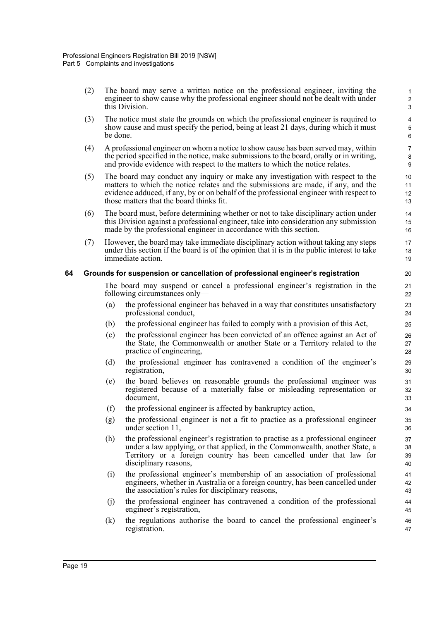(2) The board may serve a written notice on the professional engineer, inviting the engineer to show cause why the professional engineer should not be dealt with under this Division.

- (3) The notice must state the grounds on which the professional engineer is required to show cause and must specify the period, being at least 21 days, during which it must be done.
- (4) A professional engineer on whom a notice to show cause has been served may, within the period specified in the notice, make submissions to the board, orally or in writing, and provide evidence with respect to the matters to which the notice relates.
- (5) The board may conduct any inquiry or make any investigation with respect to the matters to which the notice relates and the submissions are made, if any, and the evidence adduced, if any, by or on behalf of the professional engineer with respect to those matters that the board thinks fit.
- (6) The board must, before determining whether or not to take disciplinary action under this Division against a professional engineer, take into consideration any submission made by the professional engineer in accordance with this section.
- (7) However, the board may take immediate disciplinary action without taking any steps under this section if the board is of the opinion that it is in the public interest to take immediate action.

### <span id="page-27-0"></span>**64 Grounds for suspension or cancellation of professional engineer's registration**

The board may suspend or cancel a professional engineer's registration in the following circumstances only—

- (a) the professional engineer has behaved in a way that constitutes unsatisfactory professional conduct,
- (b) the professional engineer has failed to comply with a provision of this Act,
- (c) the professional engineer has been convicted of an offence against an Act of the State, the Commonwealth or another State or a Territory related to the practice of engineering,
- (d) the professional engineer has contravened a condition of the engineer's registration,
- (e) the board believes on reasonable grounds the professional engineer was registered because of a materially false or misleading representation or document,
- (f) the professional engineer is affected by bankruptcy action,
- (g) the professional engineer is not a fit to practice as a professional engineer under section 11,
- (h) the professional engineer's registration to practise as a professional engineer under a law applying, or that applied, in the Commonwealth, another State, a Territory or a foreign country has been cancelled under that law for disciplinary reasons,
- (i) the professional engineer's membership of an association of professional engineers, whether in Australia or a foreign country, has been cancelled under the association's rules for disciplinary reasons,
- (j) the professional engineer has contravened a condition of the professional engineer's registration,
- (k) the regulations authorise the board to cancel the professional engineer's registration.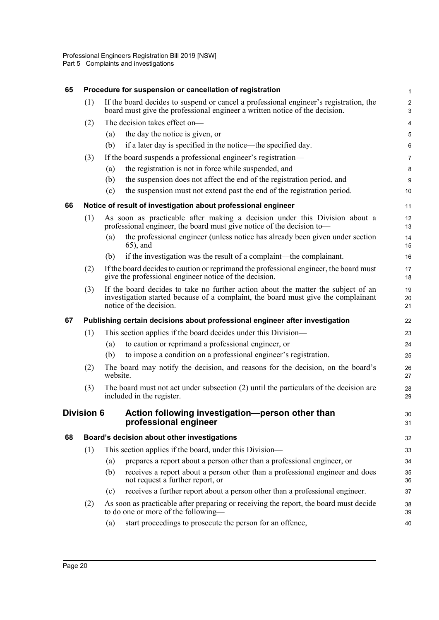<span id="page-28-4"></span><span id="page-28-3"></span><span id="page-28-2"></span><span id="page-28-1"></span><span id="page-28-0"></span>

| 65 |                   |          | Procedure for suspension or cancellation of registration                                                                                                                                          | 1                            |
|----|-------------------|----------|---------------------------------------------------------------------------------------------------------------------------------------------------------------------------------------------------|------------------------------|
|    | (1)               |          | If the board decides to suspend or cancel a professional engineer's registration, the<br>board must give the professional engineer a written notice of the decision.                              | $\overline{\mathbf{c}}$<br>3 |
|    | (2)               |          | The decision takes effect on-                                                                                                                                                                     | 4                            |
|    |                   | (a)      | the day the notice is given, or                                                                                                                                                                   | 5                            |
|    |                   | (b)      | if a later day is specified in the notice—the specified day.                                                                                                                                      | 6                            |
|    | (3)               |          | If the board suspends a professional engineer's registration—                                                                                                                                     | 7                            |
|    |                   | (a)      | the registration is not in force while suspended, and                                                                                                                                             | 8                            |
|    |                   | (b)      | the suspension does not affect the end of the registration period, and                                                                                                                            | 9                            |
|    |                   | (c)      | the suspension must not extend past the end of the registration period.                                                                                                                           | 10                           |
| 66 |                   |          | Notice of result of investigation about professional engineer                                                                                                                                     | 11                           |
|    | (1)               |          | As soon as practicable after making a decision under this Division about a<br>professional engineer, the board must give notice of the decision to—                                               | 12<br>13                     |
|    |                   | (a)      | the professional engineer (unless notice has already been given under section<br>$(65)$ , and                                                                                                     | 14<br>15                     |
|    |                   | (b)      | if the investigation was the result of a complaint—the complainant.                                                                                                                               | 16                           |
|    | (2)               |          | If the board decides to caution or reprimand the professional engineer, the board must<br>give the professional engineer notice of the decision.                                                  | 17<br>18                     |
|    | (3)               |          | If the board decides to take no further action about the matter the subject of an<br>investigation started because of a complaint, the board must give the complainant<br>notice of the decision. | 19<br>20<br>21               |
| 67 |                   |          | Publishing certain decisions about professional engineer after investigation                                                                                                                      | 22                           |
|    | (1)               |          | This section applies if the board decides under this Division—                                                                                                                                    | 23                           |
|    |                   | (a)      | to caution or reprimand a professional engineer, or                                                                                                                                               | 24                           |
|    |                   | (b)      | to impose a condition on a professional engineer's registration.                                                                                                                                  | 25                           |
|    | (2)               | website. | The board may notify the decision, and reasons for the decision, on the board's                                                                                                                   | 26<br>27                     |
|    | (3)               |          | The board must not act under subsection (2) until the particulars of the decision are<br>included in the register.                                                                                | 28<br>29                     |
|    | <b>Division 6</b> |          | Action following investigation-person other than<br>professional engineer                                                                                                                         | 30<br>31                     |
| 68 |                   |          | Board's decision about other investigations                                                                                                                                                       | 32                           |
|    | (1)               |          | This section applies if the board, under this Division—                                                                                                                                           | 33                           |
|    |                   | (a)      | prepares a report about a person other than a professional engineer, or                                                                                                                           | 34                           |
|    |                   | (b)      | receives a report about a person other than a professional engineer and does<br>not request a further report, or                                                                                  | 35<br>36                     |
|    |                   | (c)      | receives a further report about a person other than a professional engineer.                                                                                                                      | 37                           |
|    |                   |          |                                                                                                                                                                                                   |                              |
|    | (2)               |          | As soon as practicable after preparing or receiving the report, the board must decide<br>to do one or more of the following—                                                                      | 38<br>39                     |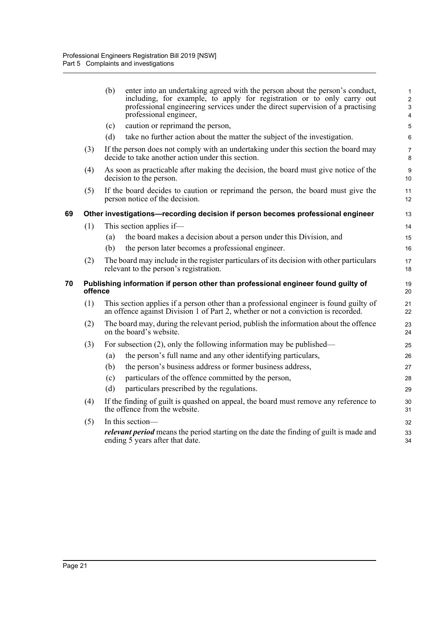<span id="page-29-1"></span><span id="page-29-0"></span>

|    |         | (b)<br>enter into an undertaking agreed with the person about the person's conduct,<br>including, for example, to apply for registration or to only carry out<br>professional engineering services under the direct supervision of a practising<br>professional engineer, | $\mathbf{1}$<br>$\overline{2}$<br>$\ensuremath{\mathsf{3}}$<br>$\overline{4}$ |
|----|---------|---------------------------------------------------------------------------------------------------------------------------------------------------------------------------------------------------------------------------------------------------------------------------|-------------------------------------------------------------------------------|
|    |         | caution or reprimand the person,<br>(c)                                                                                                                                                                                                                                   | 5                                                                             |
|    |         | take no further action about the matter the subject of the investigation.<br>(d)                                                                                                                                                                                          | 6                                                                             |
|    | (3)     | If the person does not comply with an undertaking under this section the board may<br>decide to take another action under this section.                                                                                                                                   | $\overline{7}$<br>8                                                           |
|    | (4)     | As soon as practicable after making the decision, the board must give notice of the<br>decision to the person.                                                                                                                                                            | 9<br>10                                                                       |
|    | (5)     | If the board decides to caution or reprimand the person, the board must give the<br>person notice of the decision.                                                                                                                                                        | 11<br>12                                                                      |
| 69 |         | Other investigations-recording decision if person becomes professional engineer                                                                                                                                                                                           | 13                                                                            |
|    | (1)     | This section applies if—                                                                                                                                                                                                                                                  | 14                                                                            |
|    |         | the board makes a decision about a person under this Division, and<br>(a)                                                                                                                                                                                                 | 15                                                                            |
|    |         | the person later becomes a professional engineer.<br>(b)                                                                                                                                                                                                                  | 16                                                                            |
|    | (2)     | The board may include in the register particulars of its decision with other particulars<br>relevant to the person's registration.                                                                                                                                        | 17<br>18                                                                      |
| 70 | offence | Publishing information if person other than professional engineer found guilty of                                                                                                                                                                                         | 19<br>20                                                                      |
|    | (1)     | This section applies if a person other than a professional engineer is found guilty of<br>an offence against Division 1 of Part 2, whether or not a conviction is recorded.                                                                                               | 21<br>22                                                                      |
|    | (2)     | The board may, during the relevant period, publish the information about the offence<br>on the board's website.                                                                                                                                                           | 23<br>24                                                                      |
|    | (3)     | For subsection $(2)$ , only the following information may be published—                                                                                                                                                                                                   | 25                                                                            |
|    |         | the person's full name and any other identifying particulars,<br>(a)                                                                                                                                                                                                      | 26                                                                            |
|    |         | the person's business address or former business address,<br>(b)                                                                                                                                                                                                          | 27                                                                            |
|    |         | particulars of the offence committed by the person,<br>(c)                                                                                                                                                                                                                | 28                                                                            |
|    |         | particulars prescribed by the regulations.<br>(d)                                                                                                                                                                                                                         | 29                                                                            |
|    | (4)     | If the finding of guilt is quashed on appeal, the board must remove any reference to<br>the offence from the website.                                                                                                                                                     | 30<br>31                                                                      |
|    | (5)     | In this section-                                                                                                                                                                                                                                                          | 32                                                                            |
|    |         | <i>relevant period</i> means the period starting on the date the finding of guilt is made and<br>ending 5 years after that date.                                                                                                                                          | 33<br>34                                                                      |
|    |         |                                                                                                                                                                                                                                                                           |                                                                               |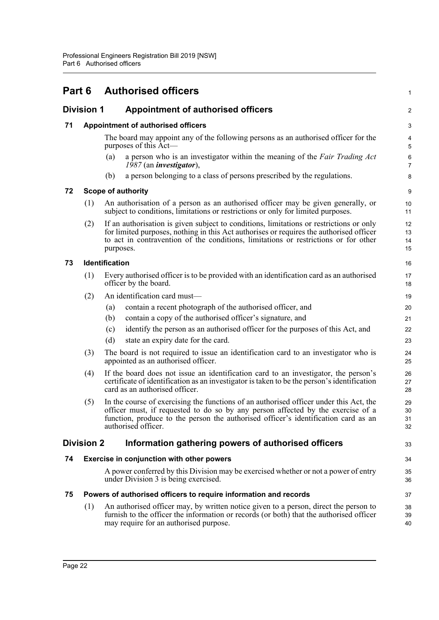<span id="page-30-7"></span><span id="page-30-6"></span><span id="page-30-5"></span><span id="page-30-4"></span><span id="page-30-3"></span><span id="page-30-2"></span><span id="page-30-1"></span><span id="page-30-0"></span>

| Part 6 |                   | <b>Authorised officers</b>                                                                                                                                                                                                                                                             | 1                    |
|--------|-------------------|----------------------------------------------------------------------------------------------------------------------------------------------------------------------------------------------------------------------------------------------------------------------------------------|----------------------|
|        | <b>Division 1</b> | <b>Appointment of authorised officers</b>                                                                                                                                                                                                                                              | $\overline{a}$       |
| 71     |                   | Appointment of authorised officers                                                                                                                                                                                                                                                     | 3                    |
|        |                   | The board may appoint any of the following persons as an authorised officer for the<br>purposes of this Act-                                                                                                                                                                           | 4<br>5               |
|        |                   | a person who is an investigator within the meaning of the Fair Trading Act<br>(a)<br>1987 (an <i>investigator</i> ),                                                                                                                                                                   | 6<br>$\overline{7}$  |
|        |                   | a person belonging to a class of persons prescribed by the regulations.<br>(b)                                                                                                                                                                                                         | 8                    |
| 72     |                   | <b>Scope of authority</b>                                                                                                                                                                                                                                                              | 9                    |
|        | (1)               | An authorisation of a person as an authorised officer may be given generally, or<br>subject to conditions, limitations or restrictions or only for limited purposes.                                                                                                                   | 10<br>11             |
|        | (2)               | If an authorisation is given subject to conditions, limitations or restrictions or only<br>for limited purposes, nothing in this Act authorises or requires the authorised officer<br>to act in contravention of the conditions, limitations or restrictions or for other<br>purposes. | 12<br>13<br>14<br>15 |
| 73     |                   | Identification                                                                                                                                                                                                                                                                         | 16                   |
|        | (1)               | Every authorised officer is to be provided with an identification card as an authorised<br>officer by the board.                                                                                                                                                                       | 17<br>18             |
|        | (2)               | An identification card must-                                                                                                                                                                                                                                                           | 19                   |
|        |                   | contain a recent photograph of the authorised officer, and<br>(a)                                                                                                                                                                                                                      | 20                   |
|        |                   | contain a copy of the authorised officer's signature, and<br>(b)                                                                                                                                                                                                                       | 21                   |
|        |                   | identify the person as an authorised officer for the purposes of this Act, and<br>(c)                                                                                                                                                                                                  | 22                   |
|        |                   | (d)<br>state an expiry date for the card.                                                                                                                                                                                                                                              | 23                   |
|        | (3)               | The board is not required to issue an identification card to an investigator who is<br>appointed as an authorised officer.                                                                                                                                                             | 24<br>25             |
|        | (4)               | If the board does not issue an identification card to an investigator, the person's<br>certificate of identification as an investigator is taken to be the person's identification<br>card as an authorised officer.                                                                   | 26<br>27<br>28       |
|        | (5)               | In the course of exercising the functions of an authorised officer under this Act, the<br>officer must, if requested to do so by any person affected by the exercise of a<br>function, produce to the person the authorised officer's identification card as an<br>authorised officer. | 29<br>30<br>31<br>32 |
|        | <b>Division 2</b> | Information gathering powers of authorised officers                                                                                                                                                                                                                                    | 33                   |
| 74     |                   | Exercise in conjunction with other powers                                                                                                                                                                                                                                              | 34                   |
|        |                   | A power conferred by this Division may be exercised whether or not a power of entry<br>under Division 3 is being exercised.                                                                                                                                                            | 35<br>36             |
| 75     |                   | Powers of authorised officers to require information and records                                                                                                                                                                                                                       | 37                   |
|        | (1)               | An authorised officer may, by written notice given to a person, direct the person to<br>furnish to the officer the information or records (or both) that the authorised officer<br>may require for an authorised purpose.                                                              | 38<br>39<br>40       |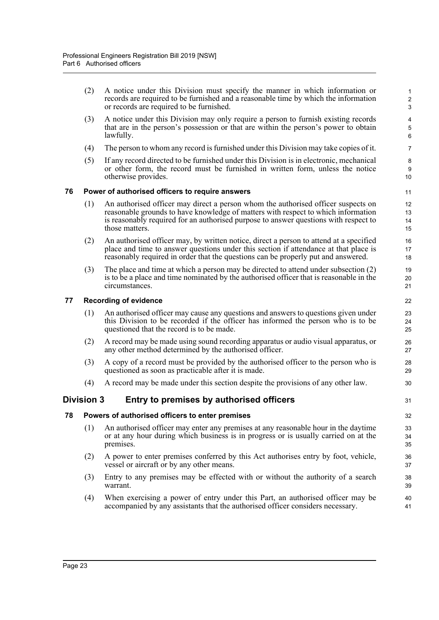<span id="page-31-0"></span>

|    | (2)        | A notice under this Division must specify the manner in which information or<br>records are required to be furnished and a reasonable time by which the information<br>or records are required to be furnished.                                                                  | 1<br>$\sqrt{2}$<br>3 |
|----|------------|----------------------------------------------------------------------------------------------------------------------------------------------------------------------------------------------------------------------------------------------------------------------------------|----------------------|
|    | (3)        | A notice under this Division may only require a person to furnish existing records<br>that are in the person's possession or that are within the person's power to obtain<br>lawfully.                                                                                           | 4<br>5<br>6          |
|    | (4)        | The person to whom any record is furnished under this Division may take copies of it.                                                                                                                                                                                            | $\overline{7}$       |
|    | (5)        | If any record directed to be furnished under this Division is in electronic, mechanical<br>or other form, the record must be furnished in written form, unless the notice<br>otherwise provides.                                                                                 | 8<br>9<br>10         |
| 76 |            | Power of authorised officers to require answers                                                                                                                                                                                                                                  | 11                   |
|    | (1)        | An authorised officer may direct a person whom the authorised officer suspects on<br>reasonable grounds to have knowledge of matters with respect to which information<br>is reasonably required for an authorised purpose to answer questions with respect to<br>those matters. | 12<br>13<br>14<br>15 |
|    | (2)        | An authorised officer may, by written notice, direct a person to attend at a specified<br>place and time to answer questions under this section if attendance at that place is<br>reasonably required in order that the questions can be properly put and answered.              | 16<br>17<br>18       |
|    | (3)        | The place and time at which a person may be directed to attend under subsection (2)<br>is to be a place and time nominated by the authorised officer that is reasonable in the<br>circumstances.                                                                                 | 19<br>20<br>21       |
| 77 |            | <b>Recording of evidence</b>                                                                                                                                                                                                                                                     | 22                   |
|    | (1)        | An authorised officer may cause any questions and answers to questions given under<br>this Division to be recorded if the officer has informed the person who is to be<br>questioned that the record is to be made.                                                              | 23<br>24<br>25       |
|    | (2)        | A record may be made using sound recording apparatus or audio visual apparatus, or<br>any other method determined by the authorised officer.                                                                                                                                     | 26<br>27             |
|    | (3)        | A copy of a record must be provided by the authorised officer to the person who is<br>questioned as soon as practicable after it is made.                                                                                                                                        | 28<br>29             |
|    | (4)        | A record may be made under this section despite the provisions of any other law.                                                                                                                                                                                                 | 30                   |
|    | Division 3 | Entry to premises by authorised officers                                                                                                                                                                                                                                         | 31                   |
| 78 |            | Powers of authorised officers to enter premises                                                                                                                                                                                                                                  | 32                   |
|    | (1)        | An authorised officer may enter any premises at any reasonable hour in the daytime<br>or at any hour during which business is in progress or is usually carried on at the<br>premises.                                                                                           | 33<br>34<br>35       |
|    | (2)        | A power to enter premises conferred by this Act authorises entry by foot, vehicle,<br>vessel or aircraft or by any other means.                                                                                                                                                  | 36<br>37             |
|    | (3)        | Entry to any premises may be effected with or without the authority of a search                                                                                                                                                                                                  | 38                   |
|    |            | warrant.                                                                                                                                                                                                                                                                         | 39                   |

<span id="page-31-3"></span><span id="page-31-2"></span><span id="page-31-1"></span>(4) When exercising a power of entry under this Part, an authorised officer may be accompanied by any assistants that the authorised officer considers necessary.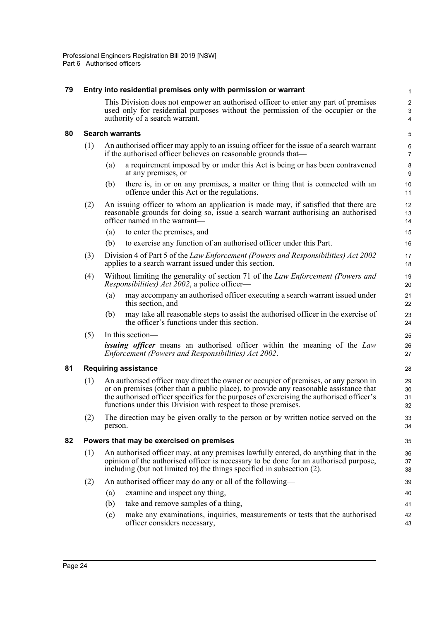<span id="page-32-3"></span><span id="page-32-2"></span><span id="page-32-1"></span><span id="page-32-0"></span>

| 79 |                                                                                                                                         | Entry into residential premises only with permission or warrant                                                                                                                                                                                                                                                                            | 1                                 |  |  |  |  |
|----|-----------------------------------------------------------------------------------------------------------------------------------------|--------------------------------------------------------------------------------------------------------------------------------------------------------------------------------------------------------------------------------------------------------------------------------------------------------------------------------------------|-----------------------------------|--|--|--|--|
|    |                                                                                                                                         | This Division does not empower an authorised officer to enter any part of premises<br>used only for residential purposes without the permission of the occupier or the<br>authority of a search warrant.                                                                                                                                   | $\overline{\mathbf{c}}$<br>3<br>4 |  |  |  |  |
| 80 | <b>Search warrants</b>                                                                                                                  |                                                                                                                                                                                                                                                                                                                                            |                                   |  |  |  |  |
|    | (1)                                                                                                                                     | An authorised officer may apply to an issuing officer for the issue of a search warrant<br>if the authorised officer believes on reasonable grounds that—                                                                                                                                                                                  |                                   |  |  |  |  |
|    |                                                                                                                                         | a requirement imposed by or under this Act is being or has been contravened<br>(a)<br>at any premises, or                                                                                                                                                                                                                                  | 8<br>9                            |  |  |  |  |
|    |                                                                                                                                         | there is, in or on any premises, a matter or thing that is connected with an<br>(b)<br>offence under this Act or the regulations.                                                                                                                                                                                                          | 10<br>11                          |  |  |  |  |
|    | (2)                                                                                                                                     | An issuing officer to whom an application is made may, if satisfied that there are<br>reasonable grounds for doing so, issue a search warrant authorising an authorised<br>officer named in the warrant-                                                                                                                                   |                                   |  |  |  |  |
|    |                                                                                                                                         | (a)<br>to enter the premises, and                                                                                                                                                                                                                                                                                                          | 15                                |  |  |  |  |
|    |                                                                                                                                         | to exercise any function of an authorised officer under this Part.<br>(b)                                                                                                                                                                                                                                                                  | 16                                |  |  |  |  |
|    | (3)                                                                                                                                     | Division 4 of Part 5 of the Law Enforcement (Powers and Responsibilities) Act 2002<br>applies to a search warrant issued under this section.                                                                                                                                                                                               | 17<br>18                          |  |  |  |  |
|    | (4)                                                                                                                                     | Without limiting the generality of section 71 of the Law Enforcement (Powers and<br><i>Responsibilities) Act 2002</i> , a police officer—                                                                                                                                                                                                  | 19<br>20                          |  |  |  |  |
|    |                                                                                                                                         | may accompany an authorised officer executing a search warrant issued under<br>(a)<br>this section, and                                                                                                                                                                                                                                    | 21<br>22                          |  |  |  |  |
|    |                                                                                                                                         | may take all reasonable steps to assist the authorised officer in the exercise of<br>(b)<br>the officer's functions under this section.                                                                                                                                                                                                    | 23<br>24                          |  |  |  |  |
|    | (5)                                                                                                                                     | In this section-                                                                                                                                                                                                                                                                                                                           |                                   |  |  |  |  |
|    | <b>issuing officer</b> means an authorised officer within the meaning of the Law<br>Enforcement (Powers and Responsibilities) Act 2002. |                                                                                                                                                                                                                                                                                                                                            | 26<br>27                          |  |  |  |  |
| 81 | <b>Requiring assistance</b>                                                                                                             |                                                                                                                                                                                                                                                                                                                                            |                                   |  |  |  |  |
|    | (1)                                                                                                                                     | An authorised officer may direct the owner or occupier of premises, or any person in<br>or on premises (other than a public place), to provide any reasonable assistance that<br>the authorised officer specifies for the purposes of exercising the authorised officer's<br>functions under this Division with respect to those premises. |                                   |  |  |  |  |
|    | (2)                                                                                                                                     | The direction may be given orally to the person or by written notice served on the<br>person.                                                                                                                                                                                                                                              |                                   |  |  |  |  |
| 82 | Powers that may be exercised on premises                                                                                                |                                                                                                                                                                                                                                                                                                                                            |                                   |  |  |  |  |
|    | (1)                                                                                                                                     | An authorised officer may, at any premises lawfully entered, do anything that in the<br>opinion of the authorised officer is necessary to be done for an authorised purpose,<br>including (but not limited to) the things specified in subsection (2).                                                                                     |                                   |  |  |  |  |
|    | (2)                                                                                                                                     | An authorised officer may do any or all of the following—                                                                                                                                                                                                                                                                                  | 39                                |  |  |  |  |
|    |                                                                                                                                         | examine and inspect any thing,<br>(a)                                                                                                                                                                                                                                                                                                      | 40                                |  |  |  |  |
|    |                                                                                                                                         | take and remove samples of a thing,<br>(b)                                                                                                                                                                                                                                                                                                 | 41                                |  |  |  |  |
|    |                                                                                                                                         | make any examinations, inquiries, measurements or tests that the authorised<br>(c)<br>officer considers necessary,                                                                                                                                                                                                                         | 42<br>43                          |  |  |  |  |
|    |                                                                                                                                         |                                                                                                                                                                                                                                                                                                                                            |                                   |  |  |  |  |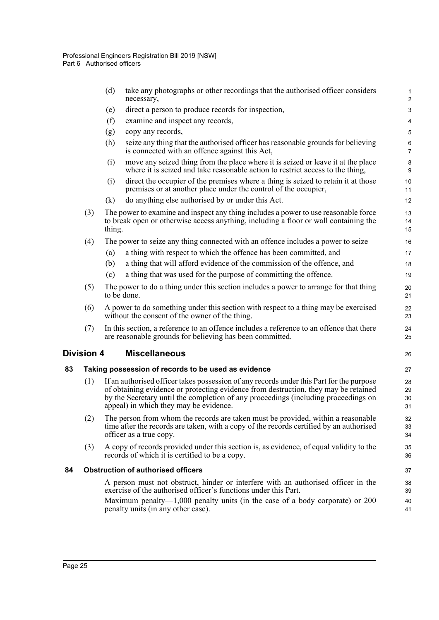<span id="page-33-2"></span><span id="page-33-1"></span><span id="page-33-0"></span>

| necessary,<br>direct a person to produce records for inspection,<br>(e)<br>(f)<br>examine and inspect any records,<br>copy any records,<br>(g)                                                                                                                                                                         | 3                    |  |  |  |  |
|------------------------------------------------------------------------------------------------------------------------------------------------------------------------------------------------------------------------------------------------------------------------------------------------------------------------|----------------------|--|--|--|--|
|                                                                                                                                                                                                                                                                                                                        |                      |  |  |  |  |
|                                                                                                                                                                                                                                                                                                                        | 4                    |  |  |  |  |
|                                                                                                                                                                                                                                                                                                                        | 5                    |  |  |  |  |
| (h)<br>seize any thing that the authorised officer has reasonable grounds for believing<br>is connected with an offence against this Act,                                                                                                                                                                              | 6<br>$\overline{7}$  |  |  |  |  |
| move any seized thing from the place where it is seized or leave it at the place<br>(i)<br>where it is seized and take reasonable action to restrict access to the thing,                                                                                                                                              | 8<br>9               |  |  |  |  |
| direct the occupier of the premises where a thing is seized to retain it at those<br>(j)<br>premises or at another place under the control of the occupier,                                                                                                                                                            | 10<br>11             |  |  |  |  |
| do anything else authorised by or under this Act.<br>(k)                                                                                                                                                                                                                                                               | 12                   |  |  |  |  |
| (3)<br>The power to examine and inspect any thing includes a power to use reasonable force<br>to break open or otherwise access anything, including a floor or wall containing the<br>thing.                                                                                                                           |                      |  |  |  |  |
| (4)<br>The power to seize any thing connected with an offence includes a power to seize—                                                                                                                                                                                                                               | 16                   |  |  |  |  |
| a thing with respect to which the offence has been committed, and<br>(a)                                                                                                                                                                                                                                               | 17                   |  |  |  |  |
| a thing that will afford evidence of the commission of the offence, and<br>(b)                                                                                                                                                                                                                                         | 18                   |  |  |  |  |
| a thing that was used for the purpose of committing the offence.<br>(c)                                                                                                                                                                                                                                                | 19                   |  |  |  |  |
| The power to do a thing under this section includes a power to arrange for that thing<br>(5)<br>to be done.                                                                                                                                                                                                            | 20<br>21             |  |  |  |  |
| A power to do something under this section with respect to a thing may be exercised<br>(6)<br>without the consent of the owner of the thing.                                                                                                                                                                           | 22<br>23             |  |  |  |  |
| In this section, a reference to an offence includes a reference to an offence that there<br>(7)<br>are reasonable grounds for believing has been committed.                                                                                                                                                            | 24<br>25             |  |  |  |  |
| <b>Division 4</b><br><b>Miscellaneous</b>                                                                                                                                                                                                                                                                              | 26                   |  |  |  |  |
| 83<br>Taking possession of records to be used as evidence                                                                                                                                                                                                                                                              | 27                   |  |  |  |  |
| (1)<br>If an authorised officer takes possession of any records under this Part for the purpose<br>of obtaining evidence or protecting evidence from destruction, they may be retained<br>by the Secretary until the completion of any proceedings (including proceedings on<br>appeal) in which they may be evidence. | 28<br>29<br>30<br>31 |  |  |  |  |
| The person from whom the records are taken must be provided, within a reasonable<br>(2)<br>time after the records are taken, with a copy of the records certified by an authorised<br>officer as a true copy.                                                                                                          | 32<br>33<br>34       |  |  |  |  |
| A copy of records provided under this section is, as evidence, of equal validity to the<br>(3)<br>records of which it is certified to be a copy.                                                                                                                                                                       | 35<br>36             |  |  |  |  |
| <b>Obstruction of authorised officers</b><br>84                                                                                                                                                                                                                                                                        | 37                   |  |  |  |  |
| A person must not obstruct, hinder or interfere with an authorised officer in the<br>exercise of the authorised officer's functions under this Part.                                                                                                                                                                   | 38<br>39             |  |  |  |  |
| Maximum penalty— $1,000$ penalty units (in the case of a body corporate) or 200<br>penalty units (in any other case).                                                                                                                                                                                                  | 40<br>41             |  |  |  |  |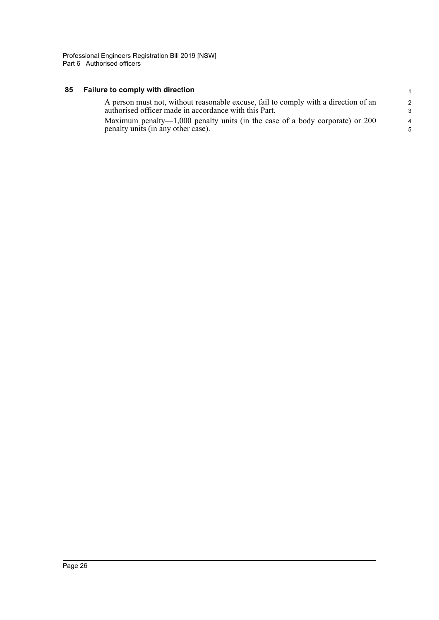## <span id="page-34-0"></span>**85 Failure to comply with direction**

| A person must not, without reasonable excuse, fail to comply with a direction of an | $\mathcal{P}$  |
|-------------------------------------------------------------------------------------|----------------|
| authorised officer made in accordance with this Part.                               | $\mathcal{R}$  |
| Maximum penalty—1,000 penalty units (in the case of a body corporate) or 200        | $\overline{4}$ |
| penalty units (in any other case).                                                  | .5             |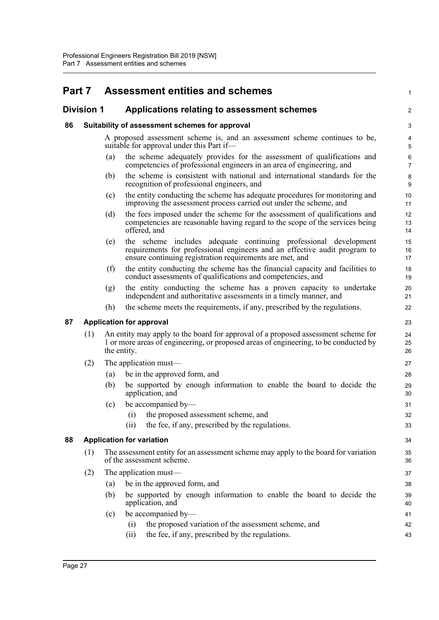# <span id="page-35-0"></span>**Part 7 Assessment entities and schemes**

### <span id="page-35-1"></span>**Division 1 Applications relating to assessment schemes**

### <span id="page-35-2"></span>**86 Suitability of assessment schemes for approval**

A proposed assessment scheme is, and an assessment scheme continues to be, suitable for approval under this Part if1

 $\mathfrak{D}$ 

- (a) the scheme adequately provides for the assessment of qualifications and competencies of professional engineers in an area of engineering, and
- (b) the scheme is consistent with national and international standards for the recognition of professional engineers, and
- (c) the entity conducting the scheme has adequate procedures for monitoring and improving the assessment process carried out under the scheme, and
- (d) the fees imposed under the scheme for the assessment of qualifications and competencies are reasonable having regard to the scope of the services being offered, and
- (e) the scheme includes adequate continuing professional development requirements for professional engineers and an effective audit program to ensure continuing registration requirements are met, and
- (f) the entity conducting the scheme has the financial capacity and facilities to conduct assessments of qualifications and competencies, and
- (g) the entity conducting the scheme has a proven capacity to undertake independent and authoritative assessments in a timely manner, and
- (h) the scheme meets the requirements, if any, prescribed by the regulations.

### <span id="page-35-3"></span>**87 Application for approval**

- (1) An entity may apply to the board for approval of a proposed assessment scheme for 1 or more areas of engineering, or proposed areas of engineering, to be conducted by the entity.
- (2) The application must—
	- (a) be in the approved form, and
	- (b) be supported by enough information to enable the board to decide the application, and
	- (c) be accompanied by—
		- (i) the proposed assessment scheme, and
		- (ii) the fee, if any, prescribed by the regulations.

#### <span id="page-35-4"></span>**88 Application for variation**

- (1) The assessment entity for an assessment scheme may apply to the board for variation of the assessment scheme.
- (2) The application must—
	- (a) be in the approved form, and
	- (b) be supported by enough information to enable the board to decide the application, and
	- (c) be accompanied by— (i) the proposed variation of the assessment scheme, and
		- (ii) the fee, if any, prescribed by the regulations.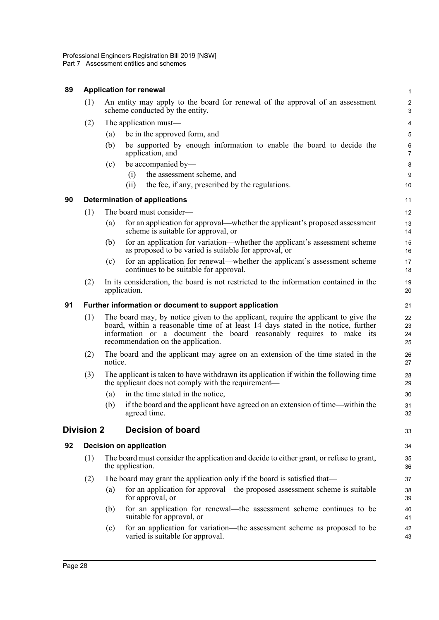### <span id="page-36-0"></span>**89 Application for renewal**

| An entity may apply to the board for renewal of the approval of an assessment<br>scheme conducted by the entity. |                                                                                          |                                |
|------------------------------------------------------------------------------------------------------------------|------------------------------------------------------------------------------------------|--------------------------------|
| The application must—                                                                                            |                                                                                          |                                |
| (a)                                                                                                              | be in the approved form, and                                                             | 5                              |
| (b)                                                                                                              | be supported by enough information to enable the board to decide the<br>application, and | 6                              |
| (c)                                                                                                              | be accompanied by—                                                                       | 8                              |
|                                                                                                                  |                                                                                          | <b>Application for renewal</b> |

33

- (i) the assessment scheme, and
- (ii) the fee, if any, prescribed by the regulations.

### <span id="page-36-1"></span>**90 Determination of applications**

- (1) The board must consider—
	- (a) for an application for approval—whether the applicant's proposed assessment scheme is suitable for approval, or
	- (b) for an application for variation—whether the applicant's assessment scheme as proposed to be varied is suitable for approval, or
	- (c) for an application for renewal—whether the applicant's assessment scheme continues to be suitable for approval.
- (2) In its consideration, the board is not restricted to the information contained in the application.

### <span id="page-36-2"></span>**91 Further information or document to support application**

- (1) The board may, by notice given to the applicant, require the applicant to give the board, within a reasonable time of at least 14 days stated in the notice, further information or a document the board reasonably requires to make its recommendation on the application.
- (2) The board and the applicant may agree on an extension of the time stated in the notice.
- (3) The applicant is taken to have withdrawn its application if within the following time the applicant does not comply with the requirement—
	- (a) in the time stated in the notice,
	- (b) if the board and the applicant have agreed on an extension of time—within the agreed time.

### <span id="page-36-3"></span>**Division 2 Decision of board**

### <span id="page-36-4"></span>**92 Decision on application**

- (1) The board must consider the application and decide to either grant, or refuse to grant, the application.
- (2) The board may grant the application only if the board is satisfied that—
	- (a) for an application for approval—the proposed assessment scheme is suitable for approval, or
	- (b) for an application for renewal—the assessment scheme continues to be suitable for approval, or
	- (c) for an application for variation—the assessment scheme as proposed to be varied is suitable for approval.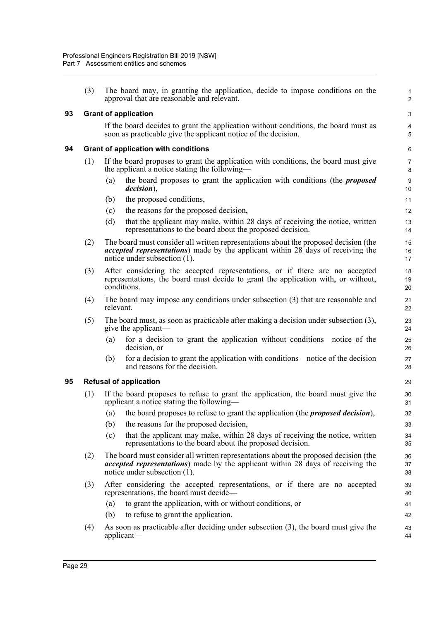(3) The board may, in granting the application, decide to impose conditions on the approval that are reasonable and relevant.

### <span id="page-37-0"></span>**93 Grant of application**

If the board decides to grant the application without conditions, the board must as soon as practicable give the applicant notice of the decision.

1 2

3 4 5

### <span id="page-37-1"></span>**94 Grant of application with conditions**

- (1) If the board proposes to grant the application with conditions, the board must give the applicant a notice stating the following—
	- (a) the board proposes to grant the application with conditions (the *proposed decision*),
	- (b) the proposed conditions,
	- (c) the reasons for the proposed decision,
	- (d) that the applicant may make, within 28 days of receiving the notice, written representations to the board about the proposed decision.
- (2) The board must consider all written representations about the proposed decision (the *accepted representations*) made by the applicant within 28 days of receiving the notice under subsection (1).
- (3) After considering the accepted representations, or if there are no accepted representations, the board must decide to grant the application with, or without, conditions.
- (4) The board may impose any conditions under subsection (3) that are reasonable and relevant.
- (5) The board must, as soon as practicable after making a decision under subsection (3), give the applicant—
	- (a) for a decision to grant the application without conditions—notice of the decision, or
	- (b) for a decision to grant the application with conditions—notice of the decision and reasons for the decision.

### <span id="page-37-2"></span>**95 Refusal of application**

- (1) If the board proposes to refuse to grant the application, the board must give the applicant a notice stating the following—
	- (a) the board proposes to refuse to grant the application (the *proposed decision*),
	- (b) the reasons for the proposed decision,
	- (c) that the applicant may make, within 28 days of receiving the notice, written representations to the board about the proposed decision.
- (2) The board must consider all written representations about the proposed decision (the *accepted representations*) made by the applicant within 28 days of receiving the notice under subsection (1).
- (3) After considering the accepted representations, or if there are no accepted representations, the board must decide—
	- (a) to grant the application, with or without conditions, or
	- (b) to refuse to grant the application.
- (4) As soon as practicable after deciding under subsection (3), the board must give the applicant— 43 44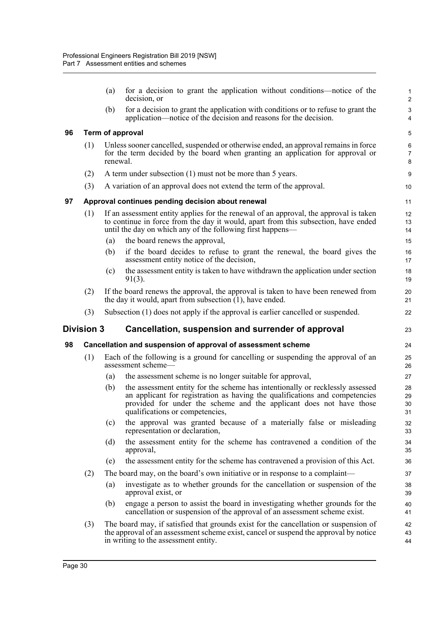<span id="page-38-3"></span><span id="page-38-2"></span><span id="page-38-1"></span><span id="page-38-0"></span>

|                                                                         |     | (a)                                                                                                                                                                                                                                       | for a decision to grant the application without conditions—notice of the<br>decision, or                                                                                                                                                                               | $\mathbf{1}$<br>$\overline{c}$ |  |  |  |  |
|-------------------------------------------------------------------------|-----|-------------------------------------------------------------------------------------------------------------------------------------------------------------------------------------------------------------------------------------------|------------------------------------------------------------------------------------------------------------------------------------------------------------------------------------------------------------------------------------------------------------------------|--------------------------------|--|--|--|--|
|                                                                         |     | (b)                                                                                                                                                                                                                                       | for a decision to grant the application with conditions or to refuse to grant the<br>application—notice of the decision and reasons for the decision.                                                                                                                  | 3<br>4                         |  |  |  |  |
| 96                                                                      |     |                                                                                                                                                                                                                                           | Term of approval                                                                                                                                                                                                                                                       | 5                              |  |  |  |  |
|                                                                         | (1) | renewal.                                                                                                                                                                                                                                  | Unless sooner cancelled, suspended or otherwise ended, an approval remains in force<br>for the term decided by the board when granting an application for approval or                                                                                                  | $\,6\,$<br>$\overline{7}$<br>8 |  |  |  |  |
|                                                                         | (2) |                                                                                                                                                                                                                                           | A term under subsection (1) must not be more than 5 years.                                                                                                                                                                                                             | 9                              |  |  |  |  |
|                                                                         | (3) | A variation of an approval does not extend the term of the approval.                                                                                                                                                                      |                                                                                                                                                                                                                                                                        |                                |  |  |  |  |
| 97                                                                      |     |                                                                                                                                                                                                                                           | Approval continues pending decision about renewal                                                                                                                                                                                                                      | 11                             |  |  |  |  |
|                                                                         | (1) | If an assessment entity applies for the renewal of an approval, the approval is taken<br>to continue in force from the day it would, apart from this subsection, have ended<br>until the day on which any of the following first happens— |                                                                                                                                                                                                                                                                        |                                |  |  |  |  |
|                                                                         |     | (a)                                                                                                                                                                                                                                       | the board renews the approval,                                                                                                                                                                                                                                         | 15                             |  |  |  |  |
|                                                                         |     | (b)                                                                                                                                                                                                                                       | if the board decides to refuse to grant the renewal, the board gives the<br>assessment entity notice of the decision,                                                                                                                                                  | 16<br>17                       |  |  |  |  |
|                                                                         |     | (c)                                                                                                                                                                                                                                       | the assessment entity is taken to have withdrawn the application under section<br>$91(3)$ .                                                                                                                                                                            | 18<br>19                       |  |  |  |  |
|                                                                         | (2) |                                                                                                                                                                                                                                           | If the board renews the approval, the approval is taken to have been renewed from<br>the day it would, apart from subsection $(1)$ , have ended.                                                                                                                       | 20<br>21                       |  |  |  |  |
|                                                                         | (3) | Subsection (1) does not apply if the approval is earlier cancelled or suspended.                                                                                                                                                          |                                                                                                                                                                                                                                                                        |                                |  |  |  |  |
| <b>Division 3</b><br>Cancellation, suspension and surrender of approval |     |                                                                                                                                                                                                                                           |                                                                                                                                                                                                                                                                        |                                |  |  |  |  |
| 98                                                                      |     |                                                                                                                                                                                                                                           | Cancellation and suspension of approval of assessment scheme                                                                                                                                                                                                           | 24                             |  |  |  |  |
|                                                                         | (1) |                                                                                                                                                                                                                                           | Each of the following is a ground for cancelling or suspending the approval of an<br>assessment scheme-                                                                                                                                                                | 25<br>26                       |  |  |  |  |
|                                                                         |     | (a)                                                                                                                                                                                                                                       | the assessment scheme is no longer suitable for approval,                                                                                                                                                                                                              | 27                             |  |  |  |  |
|                                                                         |     | (b)                                                                                                                                                                                                                                       | the assessment entity for the scheme has intentionally or recklessly assessed<br>an applicant for registration as having the qualifications and competencies<br>provided for under the scheme and the applicant does not have those<br>qualifications or competencies, | 28<br>29<br>30<br>31           |  |  |  |  |
|                                                                         |     | (c)                                                                                                                                                                                                                                       | the approval was granted because of a materially false or misleading<br>representation or declaration,                                                                                                                                                                 | 32<br>33                       |  |  |  |  |
|                                                                         |     | (d)                                                                                                                                                                                                                                       | the assessment entity for the scheme has contravened a condition of the<br>approval,                                                                                                                                                                                   | 34<br>35                       |  |  |  |  |
|                                                                         |     | (e)                                                                                                                                                                                                                                       | the assessment entity for the scheme has contravened a provision of this Act.                                                                                                                                                                                          | 36                             |  |  |  |  |
|                                                                         | (2) |                                                                                                                                                                                                                                           | The board may, on the board's own initiative or in response to a complaint—                                                                                                                                                                                            | 37                             |  |  |  |  |
|                                                                         |     | (a)                                                                                                                                                                                                                                       | investigate as to whether grounds for the cancellation or suspension of the<br>approval exist, or                                                                                                                                                                      | 38<br>39                       |  |  |  |  |
|                                                                         |     | (b)                                                                                                                                                                                                                                       | engage a person to assist the board in investigating whether grounds for the<br>cancellation or suspension of the approval of an assessment scheme exist.                                                                                                              | 40<br>41                       |  |  |  |  |
|                                                                         | (3) | The board may, if satisfied that grounds exist for the cancellation or suspension of<br>the approval of an assessment scheme exist, cancel or suspend the approval by notice<br>in writing to the assessment entity.                      |                                                                                                                                                                                                                                                                        |                                |  |  |  |  |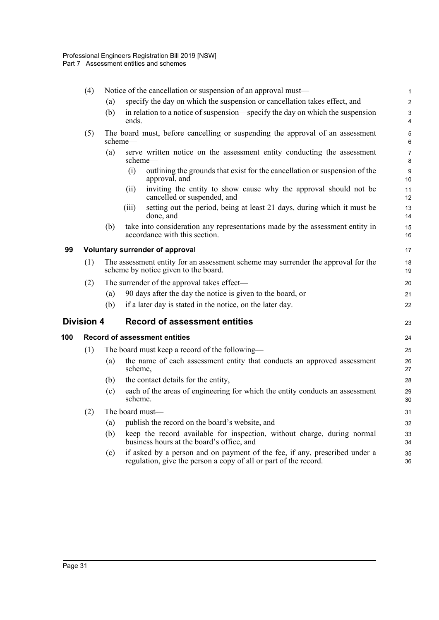<span id="page-39-2"></span><span id="page-39-1"></span><span id="page-39-0"></span>

|     | (4)               | Notice of the cancellation or suspension of an approval must— |                                                                                                                           |                                                                                                                                                |                     |  |  |
|-----|-------------------|---------------------------------------------------------------|---------------------------------------------------------------------------------------------------------------------------|------------------------------------------------------------------------------------------------------------------------------------------------|---------------------|--|--|
|     |                   | (a)                                                           |                                                                                                                           | specify the day on which the suspension or cancellation takes effect, and                                                                      | $\overline{2}$      |  |  |
|     |                   | (b)                                                           | ends.                                                                                                                     | in relation to a notice of suspension—specify the day on which the suspension                                                                  | 3<br>4              |  |  |
|     | (5)               |                                                               | scheme—                                                                                                                   | The board must, before cancelling or suspending the approval of an assessment                                                                  | 5<br>6              |  |  |
|     |                   | (a)                                                           |                                                                                                                           | serve written notice on the assessment entity conducting the assessment<br>scheme—                                                             | $\overline{7}$<br>8 |  |  |
|     |                   |                                                               | (i)                                                                                                                       | outlining the grounds that exist for the cancellation or suspension of the<br>approval, and                                                    | 9<br>10             |  |  |
|     |                   |                                                               | (ii)                                                                                                                      | inviting the entity to show cause why the approval should not be<br>cancelled or suspended, and                                                | 11<br>12            |  |  |
|     |                   |                                                               | (iii)                                                                                                                     | setting out the period, being at least 21 days, during which it must be<br>done, and                                                           | 13<br>14            |  |  |
|     |                   | (b)                                                           |                                                                                                                           | take into consideration any representations made by the assessment entity in<br>accordance with this section.                                  | 15<br>16            |  |  |
| 99  |                   | Voluntary surrender of approval                               |                                                                                                                           |                                                                                                                                                |                     |  |  |
|     | (1)               |                                                               | The assessment entity for an assessment scheme may surrender the approval for the<br>scheme by notice given to the board. |                                                                                                                                                |                     |  |  |
|     | (2)               | The surrender of the approval takes effect—                   |                                                                                                                           |                                                                                                                                                |                     |  |  |
|     |                   | (a)                                                           |                                                                                                                           | 90 days after the day the notice is given to the board, or                                                                                     | 21                  |  |  |
|     |                   | (b)                                                           |                                                                                                                           | if a later day is stated in the notice, on the later day.                                                                                      | 22                  |  |  |
|     | <b>Division 4</b> |                                                               |                                                                                                                           | <b>Record of assessment entities</b>                                                                                                           | 23                  |  |  |
| 100 |                   | <b>Record of assessment entities</b>                          |                                                                                                                           |                                                                                                                                                |                     |  |  |
|     | (1)               | The board must keep a record of the following—                |                                                                                                                           |                                                                                                                                                |                     |  |  |
|     |                   | (a)                                                           | scheme,                                                                                                                   | the name of each assessment entity that conducts an approved assessment                                                                        | 26<br>27            |  |  |
|     |                   | (b)                                                           |                                                                                                                           | the contact details for the entity,                                                                                                            | 28                  |  |  |
|     |                   | (c)                                                           | scheme.                                                                                                                   | each of the areas of engineering for which the entity conducts an assessment                                                                   | 29<br>30            |  |  |
|     | (2)               |                                                               |                                                                                                                           | The board must-                                                                                                                                | 31                  |  |  |
|     |                   | (a)                                                           |                                                                                                                           | publish the record on the board's website, and                                                                                                 | 32                  |  |  |
|     |                   | (b)                                                           |                                                                                                                           | keep the record available for inspection, without charge, during normal<br>business hours at the board's office, and                           | 33<br>34            |  |  |
|     |                   | (c)                                                           |                                                                                                                           | if asked by a person and on payment of the fee, if any, prescribed under a<br>regulation, give the person a copy of all or part of the record. | 35<br>36            |  |  |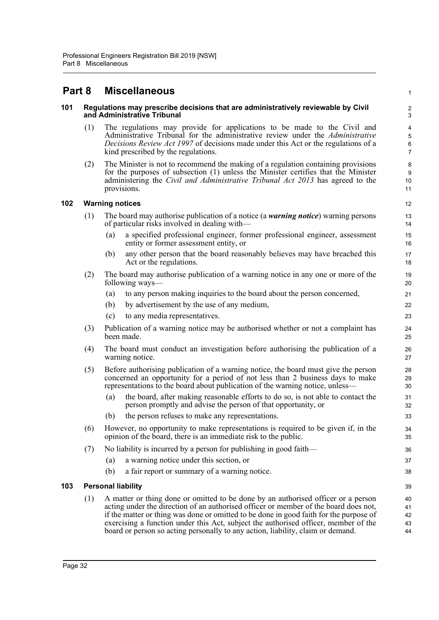## <span id="page-40-0"></span>**Part 8 Miscellaneous**

### <span id="page-40-1"></span>**101 Regulations may prescribe decisions that are administratively reviewable by Civil and Administrative Tribunal**

(1) The regulations may provide for applications to be made to the Civil and Administrative Tribunal for the administrative review under the *Administrative Decisions Review Act 1997* of decisions made under this Act or the regulations of a kind prescribed by the regulations.

1

(2) The Minister is not to recommend the making of a regulation containing provisions for the purposes of subsection (1) unless the Minister certifies that the Minister administering the *Civil and Administrative Tribunal Act 2013* has agreed to the provisions.

### <span id="page-40-2"></span>**102 Warning notices**

- (1) The board may authorise publication of a notice (a *warning notice*) warning persons of particular risks involved in dealing with—
	- (a) a specified professional engineer, former professional engineer, assessment entity or former assessment entity, or
	- (b) any other person that the board reasonably believes may have breached this Act or the regulations.
- (2) The board may authorise publication of a warning notice in any one or more of the following ways—
	- (a) to any person making inquiries to the board about the person concerned,
	- (b) by advertisement by the use of any medium,
	- (c) to any media representatives.
- (3) Publication of a warning notice may be authorised whether or not a complaint has been made.
- (4) The board must conduct an investigation before authorising the publication of a warning notice.
- (5) Before authorising publication of a warning notice, the board must give the person concerned an opportunity for a period of not less than 2 business days to make representations to the board about publication of the warning notice, unless—
	- (a) the board, after making reasonable efforts to do so, is not able to contact the person promptly and advise the person of that opportunity, or
	- (b) the person refuses to make any representations.
- (6) However, no opportunity to make representations is required to be given if, in the opinion of the board, there is an immediate risk to the public.
- (7) No liability is incurred by a person for publishing in good faith—
	- (a) a warning notice under this section, or
	- (b) a fair report or summary of a warning notice.

### <span id="page-40-3"></span>**103 Personal liability**

(1) A matter or thing done or omitted to be done by an authorised officer or a person acting under the direction of an authorised officer or member of the board does not, if the matter or thing was done or omitted to be done in good faith for the purpose of exercising a function under this Act, subject the authorised officer, member of the board or person so acting personally to any action, liability, claim or demand.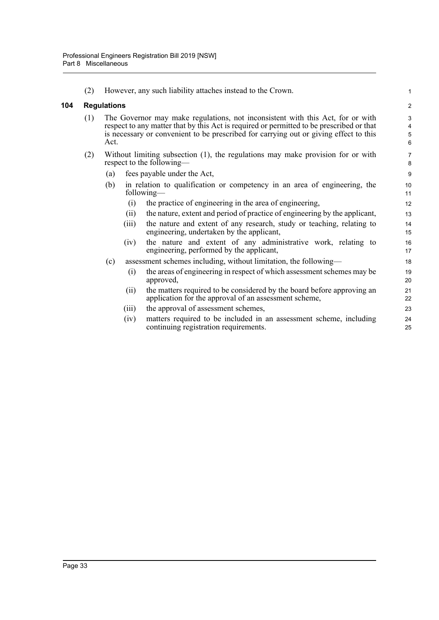(2) However, any such liability attaches instead to the Crown.

### <span id="page-41-0"></span>**104 Regulations**

- (1) The Governor may make regulations, not inconsistent with this Act, for or with respect to any matter that by this Act is required or permitted to be prescribed or that is necessary or convenient to be prescribed for carrying out or giving effect to this Act.
- (2) Without limiting subsection (1), the regulations may make provision for or with respect to the following—
	- (a) fees payable under the Act,
	- (b) in relation to qualification or competency in an area of engineering, the following—
		- (i) the practice of engineering in the area of engineering,
		- (ii) the nature, extent and period of practice of engineering by the applicant,
		- (iii) the nature and extent of any research, study or teaching, relating to engineering, undertaken by the applicant,

- (iv) the nature and extent of any administrative work, relating to engineering, performed by the applicant,
- (c) assessment schemes including, without limitation, the following—
	- (i) the areas of engineering in respect of which assessment schemes may be approved,
	- (ii) the matters required to be considered by the board before approving an application for the approval of an assessment scheme,
	- (iii) the approval of assessment schemes,
	- (iv) matters required to be included in an assessment scheme, including continuing registration requirements.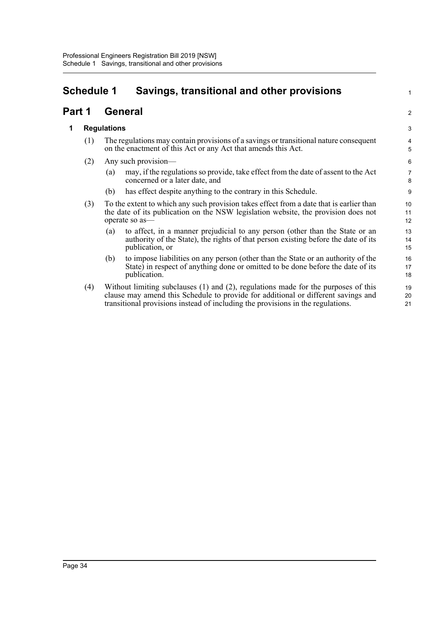# <span id="page-42-0"></span>**Schedule 1 Savings, transitional and other provisions**

## **Part 1 General**

### **1 Regulations**

- (1) The regulations may contain provisions of a savings or transitional nature consequent on the enactment of this Act or any Act that amends this Act.
- (2) Any such provision—
	- (a) may, if the regulations so provide, take effect from the date of assent to the Act concerned or a later date, and

1

2

- (b) has effect despite anything to the contrary in this Schedule.
- (3) To the extent to which any such provision takes effect from a date that is earlier than the date of its publication on the NSW legislation website, the provision does not operate so as—
	- (a) to affect, in a manner prejudicial to any person (other than the State or an authority of the State), the rights of that person existing before the date of its publication, or
	- (b) to impose liabilities on any person (other than the State or an authority of the State) in respect of anything done or omitted to be done before the date of its publication.
- (4) Without limiting subclauses (1) and (2), regulations made for the purposes of this clause may amend this Schedule to provide for additional or different savings and transitional provisions instead of including the provisions in the regulations.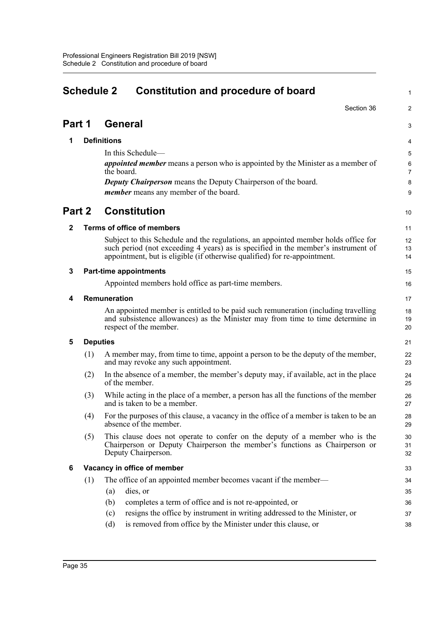<span id="page-43-0"></span>

|                                        | <b>Schedule 2</b><br><b>Constitution and procedure of board</b> |                                                                                                                                                                                                                                                      |                     |  |
|----------------------------------------|-----------------------------------------------------------------|------------------------------------------------------------------------------------------------------------------------------------------------------------------------------------------------------------------------------------------------------|---------------------|--|
|                                        |                                                                 | Section 36                                                                                                                                                                                                                                           | 2                   |  |
| Part 1                                 |                                                                 | <b>General</b>                                                                                                                                                                                                                                       | 3                   |  |
| 1                                      |                                                                 | <b>Definitions</b>                                                                                                                                                                                                                                   | 4                   |  |
|                                        |                                                                 | In this Schedule-                                                                                                                                                                                                                                    | 5                   |  |
|                                        |                                                                 | <i>appointed member</i> means a person who is appointed by the Minister as a member of                                                                                                                                                               | 6                   |  |
|                                        |                                                                 | the board.<br><b>Deputy Chairperson</b> means the Deputy Chairperson of the board.                                                                                                                                                                   | $\overline{7}$<br>8 |  |
|                                        |                                                                 | <i>member</i> means any member of the board.                                                                                                                                                                                                         | 9                   |  |
| Part 2                                 |                                                                 | <b>Constitution</b>                                                                                                                                                                                                                                  | 10                  |  |
| <b>Terms of office of members</b><br>2 |                                                                 |                                                                                                                                                                                                                                                      |                     |  |
|                                        |                                                                 |                                                                                                                                                                                                                                                      | 11                  |  |
|                                        |                                                                 | Subject to this Schedule and the regulations, an appointed member holds office for<br>such period (not exceeding 4 years) as is specified in the member's instrument of<br>appointment, but is eligible (if otherwise qualified) for re-appointment. | 12<br>13<br>14      |  |
| 3                                      |                                                                 | <b>Part-time appointments</b>                                                                                                                                                                                                                        | 15                  |  |
|                                        |                                                                 | Appointed members hold office as part-time members.                                                                                                                                                                                                  | 16                  |  |
| 4                                      | Remuneration                                                    | 17                                                                                                                                                                                                                                                   |                     |  |
|                                        |                                                                 | An appointed member is entitled to be paid such remuneration (including travelling<br>and subsistence allowances) as the Minister may from time to time determine in<br>respect of the member.                                                       | 18<br>19<br>20      |  |
| 5                                      |                                                                 | <b>Deputies</b>                                                                                                                                                                                                                                      | 21                  |  |
|                                        | (1)                                                             | A member may, from time to time, appoint a person to be the deputy of the member,<br>and may revoke any such appointment.                                                                                                                            | 22<br>23            |  |
|                                        | (2)                                                             | In the absence of a member, the member's deputy may, if available, act in the place<br>of the member.                                                                                                                                                | 24<br>25            |  |
|                                        | (3)                                                             | While acting in the place of a member, a person has all the functions of the member<br>and is taken to be a member.                                                                                                                                  | 26<br>27            |  |
|                                        | (4)                                                             | For the purposes of this clause, a vacancy in the office of a member is taken to be an<br>absence of the member.                                                                                                                                     | 28<br>29            |  |
|                                        | (5)                                                             | This clause does not operate to confer on the deputy of a member who is the<br>Chairperson or Deputy Chairperson the member's functions as Chairperson or<br>Deputy Chairperson.                                                                     | 30<br>31<br>32      |  |
| 6                                      |                                                                 | Vacancy in office of member                                                                                                                                                                                                                          | 33                  |  |
|                                        | (1)                                                             | The office of an appointed member becomes vacant if the member—                                                                                                                                                                                      | 34                  |  |
|                                        |                                                                 | dies, or<br>(a)                                                                                                                                                                                                                                      | 35                  |  |
|                                        |                                                                 | completes a term of office and is not re-appointed, or<br>(b)                                                                                                                                                                                        | 36                  |  |
|                                        |                                                                 | resigns the office by instrument in writing addressed to the Minister, or<br>(c)                                                                                                                                                                     | 37                  |  |
|                                        |                                                                 | is removed from office by the Minister under this clause, or<br>(d)                                                                                                                                                                                  | 38                  |  |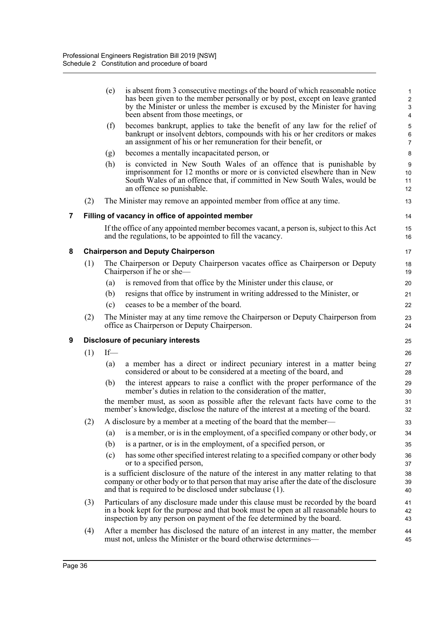|   |                                                  | (e)                                                                                                                                                                                                                                                   | is absent from 3 consecutive meetings of the board of which reasonable notice<br>has been given to the member personally or by post, except on leave granted<br>by the Minister or unless the member is excused by the Minister for having<br>been absent from those meetings, or | 1<br>$\overline{\mathbf{c}}$<br>3<br>4 |  |  |  |  |  |
|---|--------------------------------------------------|-------------------------------------------------------------------------------------------------------------------------------------------------------------------------------------------------------------------------------------------------------|-----------------------------------------------------------------------------------------------------------------------------------------------------------------------------------------------------------------------------------------------------------------------------------|----------------------------------------|--|--|--|--|--|
|   |                                                  | (f)                                                                                                                                                                                                                                                   | becomes bankrupt, applies to take the benefit of any law for the relief of<br>bankrupt or insolvent debtors, compounds with his or her creditors or makes<br>an assignment of his or her remuneration for their benefit, or                                                       | 5<br>6<br>7                            |  |  |  |  |  |
|   |                                                  | (g)                                                                                                                                                                                                                                                   | becomes a mentally incapacitated person, or                                                                                                                                                                                                                                       | 8                                      |  |  |  |  |  |
|   |                                                  | (h)                                                                                                                                                                                                                                                   | is convicted in New South Wales of an offence that is punishable by<br>imprisonment for 12 months or more or is convicted elsewhere than in New<br>South Wales of an offence that, if committed in New South Wales, would be<br>an offence so punishable.                         | 9<br>10<br>11<br>12                    |  |  |  |  |  |
|   | (2)                                              |                                                                                                                                                                                                                                                       | The Minister may remove an appointed member from office at any time.                                                                                                                                                                                                              | 13                                     |  |  |  |  |  |
| 7 | Filling of vacancy in office of appointed member |                                                                                                                                                                                                                                                       |                                                                                                                                                                                                                                                                                   |                                        |  |  |  |  |  |
|   |                                                  | If the office of any appointed member becomes vacant, a person is, subject to this Act<br>and the regulations, to be appointed to fill the vacancy.                                                                                                   |                                                                                                                                                                                                                                                                                   |                                        |  |  |  |  |  |
| 8 |                                                  |                                                                                                                                                                                                                                                       | <b>Chairperson and Deputy Chairperson</b>                                                                                                                                                                                                                                         | 17                                     |  |  |  |  |  |
|   | (1)                                              |                                                                                                                                                                                                                                                       | The Chairperson or Deputy Chairperson vacates office as Chairperson or Deputy<br>Chairperson if he or she-                                                                                                                                                                        | 18<br>19                               |  |  |  |  |  |
|   |                                                  | (a)                                                                                                                                                                                                                                                   | is removed from that office by the Minister under this clause, or                                                                                                                                                                                                                 | 20                                     |  |  |  |  |  |
|   |                                                  | (b)                                                                                                                                                                                                                                                   | resigns that office by instrument in writing addressed to the Minister, or                                                                                                                                                                                                        | 21                                     |  |  |  |  |  |
|   |                                                  | (c)                                                                                                                                                                                                                                                   | ceases to be a member of the board.                                                                                                                                                                                                                                               | 22                                     |  |  |  |  |  |
|   | (2)                                              | The Minister may at any time remove the Chairperson or Deputy Chairperson from<br>office as Chairperson or Deputy Chairperson.                                                                                                                        |                                                                                                                                                                                                                                                                                   |                                        |  |  |  |  |  |
| 9 | <b>Disclosure of pecuniary interests</b>         |                                                                                                                                                                                                                                                       |                                                                                                                                                                                                                                                                                   |                                        |  |  |  |  |  |
|   | (1)                                              | $If$ —                                                                                                                                                                                                                                                |                                                                                                                                                                                                                                                                                   | 26                                     |  |  |  |  |  |
|   |                                                  | (a)                                                                                                                                                                                                                                                   | a member has a direct or indirect pecuniary interest in a matter being<br>considered or about to be considered at a meeting of the board, and                                                                                                                                     | 27<br>28                               |  |  |  |  |  |
|   |                                                  | (b)                                                                                                                                                                                                                                                   | the interest appears to raise a conflict with the proper performance of the<br>member's duties in relation to the consideration of the matter,                                                                                                                                    | 29<br>30                               |  |  |  |  |  |
|   |                                                  |                                                                                                                                                                                                                                                       | the member must, as soon as possible after the relevant facts have come to the<br>member's knowledge, disclose the nature of the interest at a meeting of the board.                                                                                                              | 31<br>32                               |  |  |  |  |  |
|   | (2)                                              |                                                                                                                                                                                                                                                       | A disclosure by a member at a meeting of the board that the member—                                                                                                                                                                                                               | 33                                     |  |  |  |  |  |
|   |                                                  | (a)                                                                                                                                                                                                                                                   | is a member, or is in the employment, of a specified company or other body, or                                                                                                                                                                                                    | 34                                     |  |  |  |  |  |
|   |                                                  | (b)                                                                                                                                                                                                                                                   | is a partner, or is in the employment, of a specified person, or                                                                                                                                                                                                                  | 35                                     |  |  |  |  |  |
|   |                                                  | (c)                                                                                                                                                                                                                                                   | has some other specified interest relating to a specified company or other body<br>or to a specified person,                                                                                                                                                                      | 36<br>37                               |  |  |  |  |  |
|   |                                                  |                                                                                                                                                                                                                                                       | is a sufficient disclosure of the nature of the interest in any matter relating to that<br>company or other body or to that person that may arise after the date of the disclosure<br>and that is required to be disclosed under subclause (1).                                   | 38<br>39<br>40                         |  |  |  |  |  |
|   | (3)                                              | Particulars of any disclosure made under this clause must be recorded by the board<br>in a book kept for the purpose and that book must be open at all reasonable hours to<br>inspection by any person on payment of the fee determined by the board. |                                                                                                                                                                                                                                                                                   |                                        |  |  |  |  |  |
|   | (4)                                              | After a member has disclosed the nature of an interest in any matter, the member<br>must not, unless the Minister or the board otherwise determines—                                                                                                  |                                                                                                                                                                                                                                                                                   |                                        |  |  |  |  |  |
|   |                                                  |                                                                                                                                                                                                                                                       |                                                                                                                                                                                                                                                                                   |                                        |  |  |  |  |  |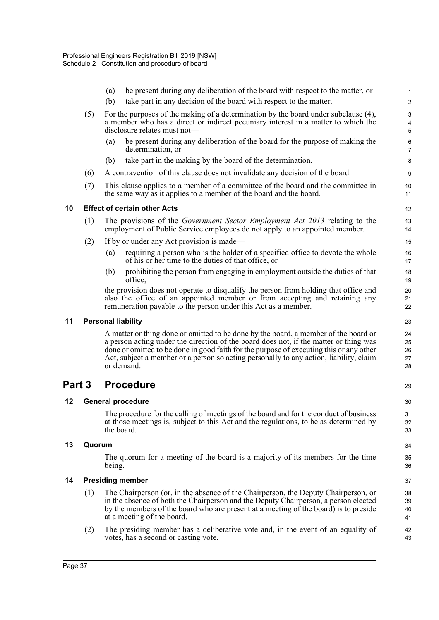|        |        | (a)                                                                                                                                                                                                      | be present during any deliberation of the board with respect to the matter, or                                                                                                                                                                                                                                                                                                  | $\mathbf{1}$               |  |  |  |
|--------|--------|----------------------------------------------------------------------------------------------------------------------------------------------------------------------------------------------------------|---------------------------------------------------------------------------------------------------------------------------------------------------------------------------------------------------------------------------------------------------------------------------------------------------------------------------------------------------------------------------------|----------------------------|--|--|--|
|        |        | (b)                                                                                                                                                                                                      | take part in any decision of the board with respect to the matter.                                                                                                                                                                                                                                                                                                              | $\overline{c}$             |  |  |  |
|        | (5)    | For the purposes of the making of a determination by the board under subclause (4),<br>a member who has a direct or indirect pecuniary interest in a matter to which the<br>disclosure relates must not- |                                                                                                                                                                                                                                                                                                                                                                                 |                            |  |  |  |
|        |        | (a)                                                                                                                                                                                                      | be present during any deliberation of the board for the purpose of making the<br>determination, or                                                                                                                                                                                                                                                                              | 6<br>$\overline{7}$        |  |  |  |
|        |        | (b)                                                                                                                                                                                                      | take part in the making by the board of the determination.                                                                                                                                                                                                                                                                                                                      | 8                          |  |  |  |
|        | (6)    |                                                                                                                                                                                                          | A contravention of this clause does not invalidate any decision of the board.                                                                                                                                                                                                                                                                                                   | 9                          |  |  |  |
|        | (7)    |                                                                                                                                                                                                          | This clause applies to a member of a committee of the board and the committee in<br>the same way as it applies to a member of the board and the board.                                                                                                                                                                                                                          | 10<br>11                   |  |  |  |
| 10     |        |                                                                                                                                                                                                          | <b>Effect of certain other Acts</b>                                                                                                                                                                                                                                                                                                                                             | 12                         |  |  |  |
|        | (1)    |                                                                                                                                                                                                          | The provisions of the <i>Government Sector Employment Act 2013</i> relating to the<br>employment of Public Service employees do not apply to an appointed member.                                                                                                                                                                                                               | 13<br>14                   |  |  |  |
|        | (2)    |                                                                                                                                                                                                          | If by or under any Act provision is made—                                                                                                                                                                                                                                                                                                                                       | 15                         |  |  |  |
|        |        | (a)                                                                                                                                                                                                      | requiring a person who is the holder of a specified office to devote the whole<br>of his or her time to the duties of that office, or                                                                                                                                                                                                                                           | 16<br>17                   |  |  |  |
|        |        | (b)                                                                                                                                                                                                      | prohibiting the person from engaging in employment outside the duties of that<br>office,                                                                                                                                                                                                                                                                                        | 18<br>19                   |  |  |  |
|        |        |                                                                                                                                                                                                          | the provision does not operate to disqualify the person from holding that office and<br>also the office of an appointed member or from accepting and retaining any<br>remuneration payable to the person under this Act as a member.                                                                                                                                            | 20<br>21<br>22             |  |  |  |
| 11     |        |                                                                                                                                                                                                          | <b>Personal liability</b>                                                                                                                                                                                                                                                                                                                                                       | 23                         |  |  |  |
|        |        |                                                                                                                                                                                                          | A matter or thing done or omitted to be done by the board, a member of the board or<br>a person acting under the direction of the board does not, if the matter or thing was<br>done or omitted to be done in good faith for the purpose of executing this or any other<br>Act, subject a member or a person so acting personally to any action, liability, claim<br>or demand. | 24<br>25<br>26<br>27<br>28 |  |  |  |
| Part 3 |        |                                                                                                                                                                                                          | <b>Procedure</b>                                                                                                                                                                                                                                                                                                                                                                | 29                         |  |  |  |
| 12     |        | <b>General procedure</b>                                                                                                                                                                                 |                                                                                                                                                                                                                                                                                                                                                                                 |                            |  |  |  |
|        |        | the board.                                                                                                                                                                                               | The procedure for the calling of meetings of the board and for the conduct of business<br>at those meetings is, subject to this Act and the regulations, to be as determined by                                                                                                                                                                                                 | 31<br>32<br>33             |  |  |  |
| 13     | Quorum |                                                                                                                                                                                                          |                                                                                                                                                                                                                                                                                                                                                                                 |                            |  |  |  |
|        |        | being.                                                                                                                                                                                                   | The quorum for a meeting of the board is a majority of its members for the time                                                                                                                                                                                                                                                                                                 | 35<br>36                   |  |  |  |
| 14     |        | <b>Presiding member</b>                                                                                                                                                                                  |                                                                                                                                                                                                                                                                                                                                                                                 |                            |  |  |  |
|        | (1)    |                                                                                                                                                                                                          | The Chairperson (or, in the absence of the Chairperson, the Deputy Chairperson, or<br>in the absence of both the Chairperson and the Deputy Chairperson, a person elected<br>by the members of the board who are present at a meeting of the board) is to preside<br>at a meeting of the board.                                                                                 | 38<br>39<br>40<br>41       |  |  |  |
|        |        |                                                                                                                                                                                                          |                                                                                                                                                                                                                                                                                                                                                                                 |                            |  |  |  |
|        | (2)    |                                                                                                                                                                                                          | The presiding member has a deliberative vote and, in the event of an equality of<br>votes, has a second or casting vote.                                                                                                                                                                                                                                                        | 42<br>43                   |  |  |  |